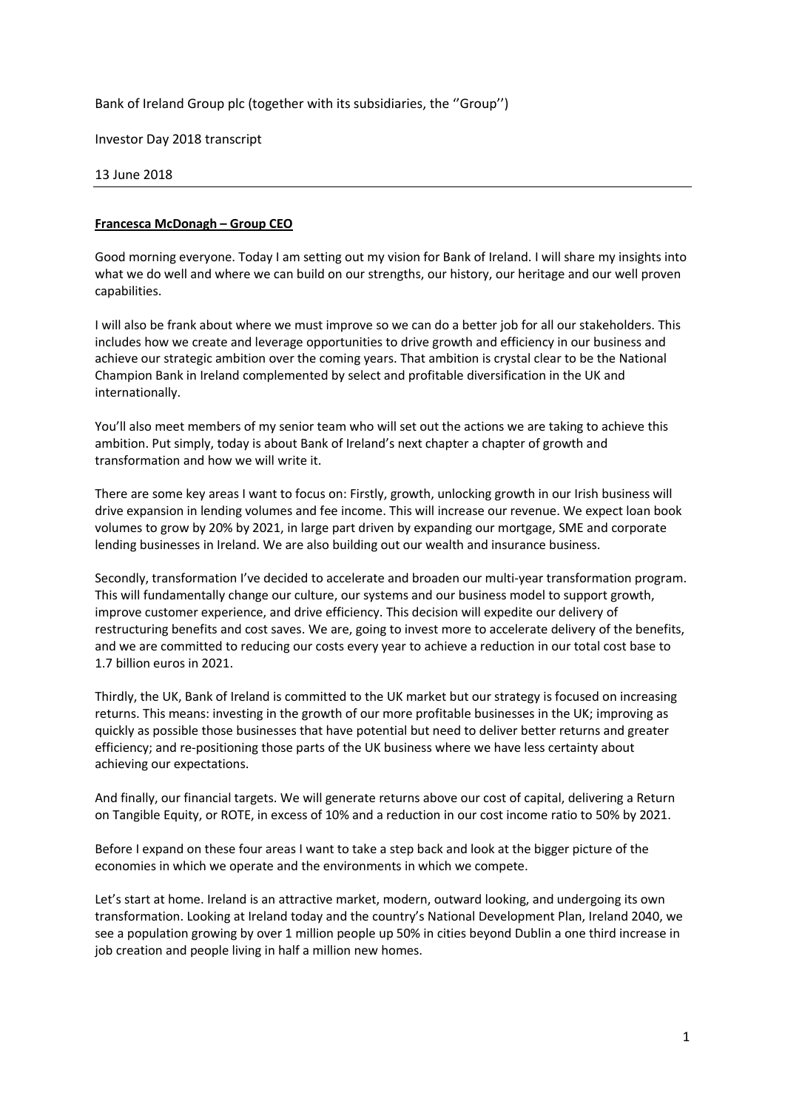Bank of Ireland Group plc (together with its subsidiaries, the ''Group'')

Investor Day 2018 transcript

13 June 2018

#### **Francesca McDonagh – Group CEO**

Good morning everyone. Today I am setting out my vision for Bank of Ireland. I will share my insights into what we do well and where we can build on our strengths, our history, our heritage and our well proven capabilities.

I will also be frank about where we must improve so we can do a better job for all our stakeholders. This includes how we create and leverage opportunities to drive growth and efficiency in our business and achieve our strategic ambition over the coming years. That ambition is crystal clear to be the National Champion Bank in Ireland complemented by select and profitable diversification in the UK and internationally.

You'll also meet members of my senior team who will set out the actions we are taking to achieve this ambition. Put simply, today is about Bank of Ireland's next chapter a chapter of growth and transformation and how we will write it.

There are some key areas I want to focus on: Firstly, growth, unlocking growth in our Irish business will drive expansion in lending volumes and fee income. This will increase our revenue. We expect loan book volumes to grow by 20% by 2021, in large part driven by expanding our mortgage, SME and corporate lending businesses in Ireland. We are also building out our wealth and insurance business.

Secondly, transformation I've decided to accelerate and broaden our multi-year transformation program. This will fundamentally change our culture, our systems and our business model to support growth, improve customer experience, and drive efficiency. This decision will expedite our delivery of restructuring benefits and cost saves. We are, going to invest more to accelerate delivery of the benefits, and we are committed to reducing our costs every year to achieve a reduction in our total cost base to 1.7 billion euros in 2021.

Thirdly, the UK, Bank of Ireland is committed to the UK market but our strategy is focused on increasing returns. This means: investing in the growth of our more profitable businesses in the UK; improving as quickly as possible those businesses that have potential but need to deliver better returns and greater efficiency; and re-positioning those parts of the UK business where we have less certainty about achieving our expectations.

And finally, our financial targets. We will generate returns above our cost of capital, delivering a Return on Tangible Equity, or ROTE, in excess of 10% and a reduction in our cost income ratio to 50% by 2021.

Before I expand on these four areas I want to take a step back and look at the bigger picture of the economies in which we operate and the environments in which we compete.

Let's start at home. Ireland is an attractive market, modern, outward looking, and undergoing its own transformation. Looking at Ireland today and the country's National Development Plan, Ireland 2040, we see a population growing by over 1 million people up 50% in cities beyond Dublin a one third increase in job creation and people living in half a million new homes.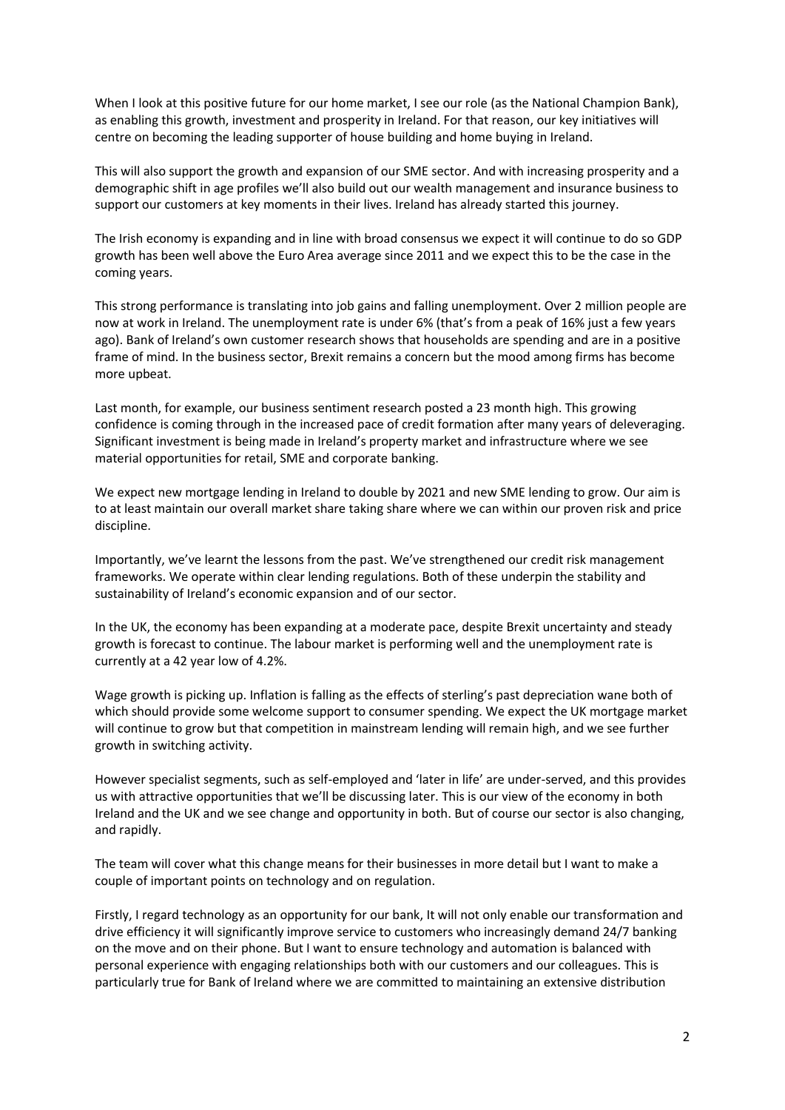When I look at this positive future for our home market, I see our role (as the National Champion Bank), as enabling this growth, investment and prosperity in Ireland. For that reason, our key initiatives will centre on becoming the leading supporter of house building and home buying in Ireland.

This will also support the growth and expansion of our SME sector. And with increasing prosperity and a demographic shift in age profiles we'll also build out our wealth management and insurance business to support our customers at key moments in their lives. Ireland has already started this journey.

The Irish economy is expanding and in line with broad consensus we expect it will continue to do so GDP growth has been well above the Euro Area average since 2011 and we expect this to be the case in the coming years.

This strong performance is translating into job gains and falling unemployment. Over 2 million people are now at work in Ireland. The unemployment rate is under 6% (that's from a peak of 16% just a few years ago). Bank of Ireland's own customer research shows that households are spending and are in a positive frame of mind. In the business sector, Brexit remains a concern but the mood among firms has become more upbeat.

Last month, for example, our business sentiment research posted a 23 month high. This growing confidence is coming through in the increased pace of credit formation after many years of deleveraging. Significant investment is being made in Ireland's property market and infrastructure where we see material opportunities for retail, SME and corporate banking.

We expect new mortgage lending in Ireland to double by 2021 and new SME lending to grow. Our aim is to at least maintain our overall market share taking share where we can within our proven risk and price discipline.

Importantly, we've learnt the lessons from the past. We've strengthened our credit risk management frameworks. We operate within clear lending regulations. Both of these underpin the stability and sustainability of Ireland's economic expansion and of our sector.

In the UK, the economy has been expanding at a moderate pace, despite Brexit uncertainty and steady growth is forecast to continue. The labour market is performing well and the unemployment rate is currently at a 42 year low of 4.2%.

Wage growth is picking up. Inflation is falling as the effects of sterling's past depreciation wane both of which should provide some welcome support to consumer spending. We expect the UK mortgage market will continue to grow but that competition in mainstream lending will remain high, and we see further growth in switching activity.

However specialist segments, such as self-employed and 'later in life' are under-served, and this provides us with attractive opportunities that we'll be discussing later. This is our view of the economy in both Ireland and the UK and we see change and opportunity in both. But of course our sector is also changing, and rapidly.

The team will cover what this change means for their businesses in more detail but I want to make a couple of important points on technology and on regulation.

Firstly, I regard technology as an opportunity for our bank, It will not only enable our transformation and drive efficiency it will significantly improve service to customers who increasingly demand 24/7 banking on the move and on their phone. But I want to ensure technology and automation is balanced with personal experience with engaging relationships both with our customers and our colleagues. This is particularly true for Bank of Ireland where we are committed to maintaining an extensive distribution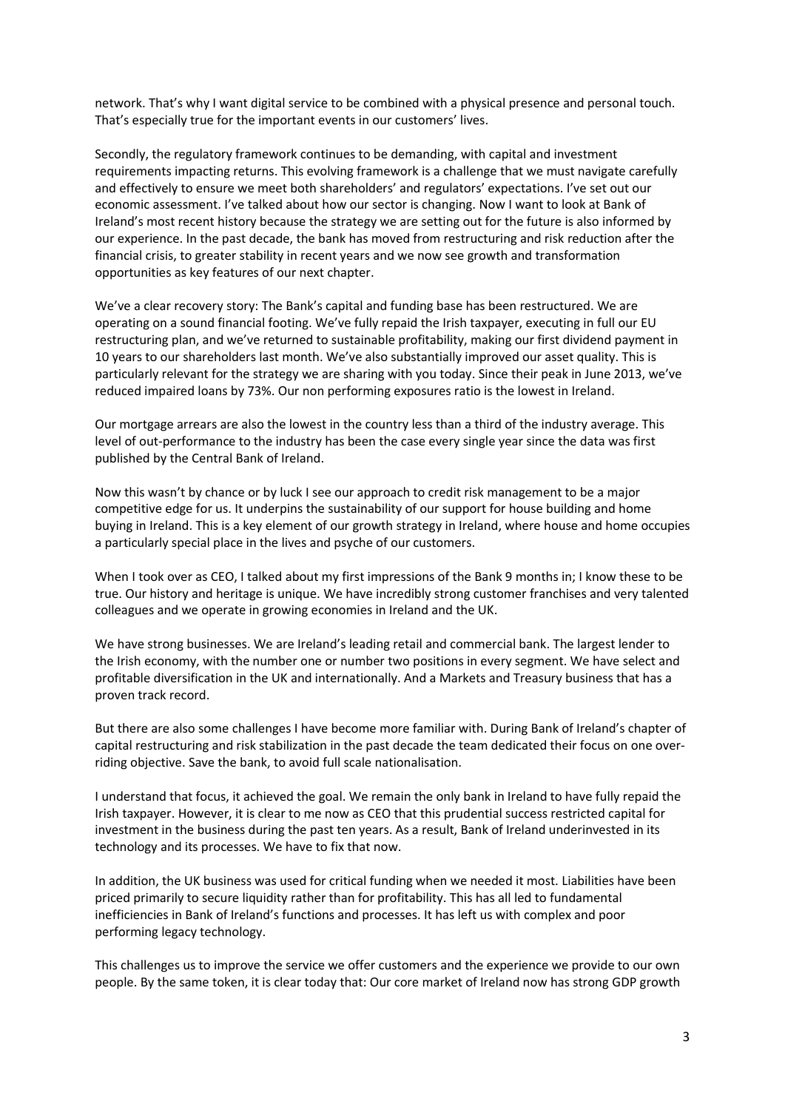network. That's why I want digital service to be combined with a physical presence and personal touch. That's especially true for the important events in our customers' lives.

Secondly, the regulatory framework continues to be demanding, with capital and investment requirements impacting returns. This evolving framework is a challenge that we must navigate carefully and effectively to ensure we meet both shareholders' and regulators' expectations. I've set out our economic assessment. I've talked about how our sector is changing. Now I want to look at Bank of Ireland's most recent history because the strategy we are setting out for the future is also informed by our experience. In the past decade, the bank has moved from restructuring and risk reduction after the financial crisis, to greater stability in recent years and we now see growth and transformation opportunities as key features of our next chapter.

We've a clear recovery story: The Bank's capital and funding base has been restructured. We are operating on a sound financial footing. We've fully repaid the Irish taxpayer, executing in full our EU restructuring plan, and we've returned to sustainable profitability, making our first dividend payment in 10 years to our shareholders last month. We've also substantially improved our asset quality. This is particularly relevant for the strategy we are sharing with you today. Since their peak in June 2013, we've reduced impaired loans by 73%. Our non performing exposures ratio is the lowest in Ireland.

Our mortgage arrears are also the lowest in the country less than a third of the industry average. This level of out-performance to the industry has been the case every single year since the data was first published by the Central Bank of Ireland.

Now this wasn't by chance or by luck I see our approach to credit risk management to be a major competitive edge for us. It underpins the sustainability of our support for house building and home buying in Ireland. This is a key element of our growth strategy in Ireland, where house and home occupies a particularly special place in the lives and psyche of our customers.

When I took over as CEO, I talked about my first impressions of the Bank 9 months in; I know these to be true. Our history and heritage is unique. We have incredibly strong customer franchises and very talented colleagues and we operate in growing economies in Ireland and the UK.

We have strong businesses. We are Ireland's leading retail and commercial bank. The largest lender to the Irish economy, with the number one or number two positions in every segment. We have select and profitable diversification in the UK and internationally. And a Markets and Treasury business that has a proven track record.

But there are also some challenges I have become more familiar with. During Bank of Ireland's chapter of capital restructuring and risk stabilization in the past decade the team dedicated their focus on one overriding objective. Save the bank, to avoid full scale nationalisation.

I understand that focus, it achieved the goal. We remain the only bank in Ireland to have fully repaid the Irish taxpayer. However, it is clear to me now as CEO that this prudential success restricted capital for investment in the business during the past ten years. As a result, Bank of Ireland underinvested in its technology and its processes. We have to fix that now.

In addition, the UK business was used for critical funding when we needed it most. Liabilities have been priced primarily to secure liquidity rather than for profitability. This has all led to fundamental inefficiencies in Bank of Ireland's functions and processes. It has left us with complex and poor performing legacy technology.

This challenges us to improve the service we offer customers and the experience we provide to our own people. By the same token, it is clear today that: Our core market of Ireland now has strong GDP growth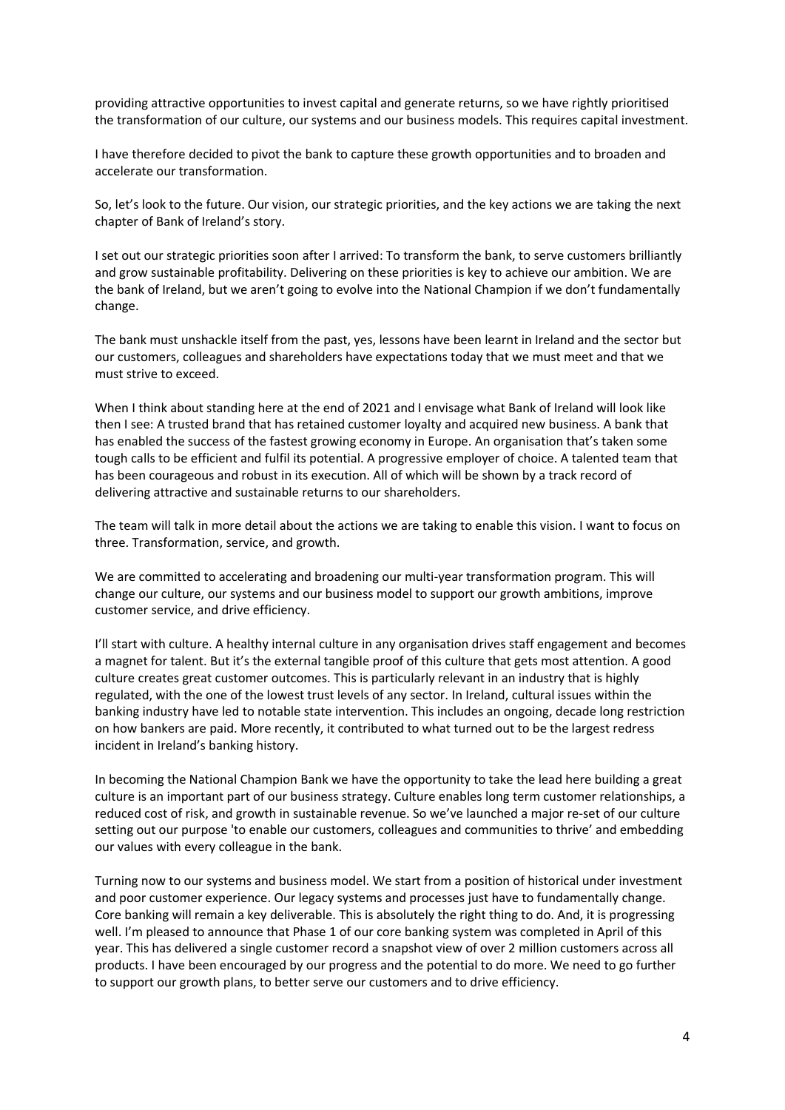providing attractive opportunities to invest capital and generate returns, so we have rightly prioritised the transformation of our culture, our systems and our business models. This requires capital investment.

I have therefore decided to pivot the bank to capture these growth opportunities and to broaden and accelerate our transformation.

So, let's look to the future. Our vision, our strategic priorities, and the key actions we are taking the next chapter of Bank of Ireland's story.

I set out our strategic priorities soon after I arrived: To transform the bank, to serve customers brilliantly and grow sustainable profitability. Delivering on these priorities is key to achieve our ambition. We are the bank of Ireland, but we aren't going to evolve into the National Champion if we don't fundamentally change.

The bank must unshackle itself from the past, yes, lessons have been learnt in Ireland and the sector but our customers, colleagues and shareholders have expectations today that we must meet and that we must strive to exceed.

When I think about standing here at the end of 2021 and I envisage what Bank of Ireland will look like then I see: A trusted brand that has retained customer loyalty and acquired new business. A bank that has enabled the success of the fastest growing economy in Europe. An organisation that's taken some tough calls to be efficient and fulfil its potential. A progressive employer of choice. A talented team that has been courageous and robust in its execution. All of which will be shown by a track record of delivering attractive and sustainable returns to our shareholders.

The team will talk in more detail about the actions we are taking to enable this vision. I want to focus on three. Transformation, service, and growth.

We are committed to accelerating and broadening our multi-year transformation program. This will change our culture, our systems and our business model to support our growth ambitions, improve customer service, and drive efficiency.

I'll start with culture. A healthy internal culture in any organisation drives staff engagement and becomes a magnet for talent. But it's the external tangible proof of this culture that gets most attention. A good culture creates great customer outcomes. This is particularly relevant in an industry that is highly regulated, with the one of the lowest trust levels of any sector. In Ireland, cultural issues within the banking industry have led to notable state intervention. This includes an ongoing, decade long restriction on how bankers are paid. More recently, it contributed to what turned out to be the largest redress incident in Ireland's banking history.

In becoming the National Champion Bank we have the opportunity to take the lead here building a great culture is an important part of our business strategy. Culture enables long term customer relationships, a reduced cost of risk, and growth in sustainable revenue. So we've launched a major re-set of our culture setting out our purpose 'to enable our customers, colleagues and communities to thrive' and embedding our values with every colleague in the bank.

Turning now to our systems and business model. We start from a position of historical under investment and poor customer experience. Our legacy systems and processes just have to fundamentally change. Core banking will remain a key deliverable. This is absolutely the right thing to do. And, it is progressing well. I'm pleased to announce that Phase 1 of our core banking system was completed in April of this year. This has delivered a single customer record a snapshot view of over 2 million customers across all products. I have been encouraged by our progress and the potential to do more. We need to go further to support our growth plans, to better serve our customers and to drive efficiency.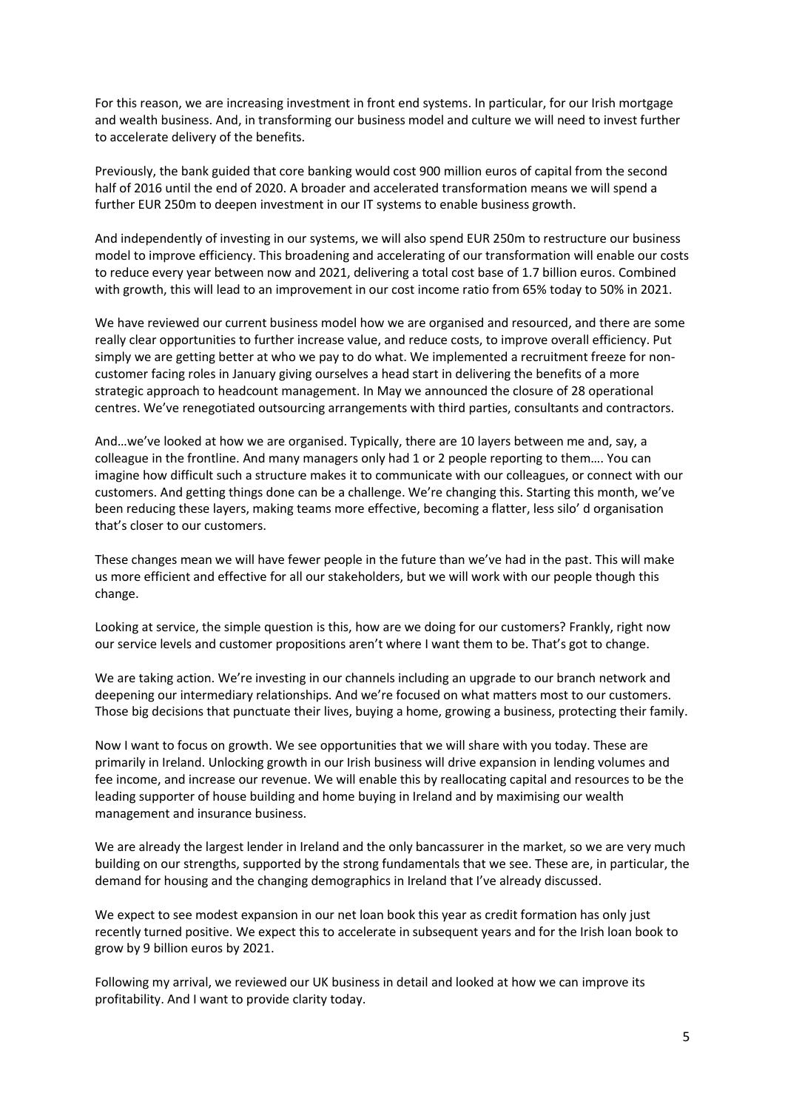For this reason, we are increasing investment in front end systems. In particular, for our Irish mortgage and wealth business. And, in transforming our business model and culture we will need to invest further to accelerate delivery of the benefits.

Previously, the bank guided that core banking would cost 900 million euros of capital from the second half of 2016 until the end of 2020. A broader and accelerated transformation means we will spend a further EUR 250m to deepen investment in our IT systems to enable business growth.

And independently of investing in our systems, we will also spend EUR 250m to restructure our business model to improve efficiency. This broadening and accelerating of our transformation will enable our costs to reduce every year between now and 2021, delivering a total cost base of 1.7 billion euros. Combined with growth, this will lead to an improvement in our cost income ratio from 65% today to 50% in 2021.

We have reviewed our current business model how we are organised and resourced, and there are some really clear opportunities to further increase value, and reduce costs, to improve overall efficiency. Put simply we are getting better at who we pay to do what. We implemented a recruitment freeze for noncustomer facing roles in January giving ourselves a head start in delivering the benefits of a more strategic approach to headcount management. In May we announced the closure of 28 operational centres. We've renegotiated outsourcing arrangements with third parties, consultants and contractors.

And…we've looked at how we are organised. Typically, there are 10 layers between me and, say, a colleague in the frontline. And many managers only had 1 or 2 people reporting to them…. You can imagine how difficult such a structure makes it to communicate with our colleagues, or connect with our customers. And getting things done can be a challenge. We're changing this. Starting this month, we've been reducing these layers, making teams more effective, becoming a flatter, less silo' d organisation that's closer to our customers.

These changes mean we will have fewer people in the future than we've had in the past. This will make us more efficient and effective for all our stakeholders, but we will work with our people though this change.

Looking at service, the simple question is this, how are we doing for our customers? Frankly, right now our service levels and customer propositions aren't where I want them to be. That's got to change.

We are taking action. We're investing in our channels including an upgrade to our branch network and deepening our intermediary relationships. And we're focused on what matters most to our customers. Those big decisions that punctuate their lives, buying a home, growing a business, protecting their family.

Now I want to focus on growth. We see opportunities that we will share with you today. These are primarily in Ireland. Unlocking growth in our Irish business will drive expansion in lending volumes and fee income, and increase our revenue. We will enable this by reallocating capital and resources to be the leading supporter of house building and home buying in Ireland and by maximising our wealth management and insurance business.

We are already the largest lender in Ireland and the only bancassurer in the market, so we are very much building on our strengths, supported by the strong fundamentals that we see. These are, in particular, the demand for housing and the changing demographics in Ireland that I've already discussed.

We expect to see modest expansion in our net loan book this year as credit formation has only just recently turned positive. We expect this to accelerate in subsequent years and for the Irish loan book to grow by 9 billion euros by 2021.

Following my arrival, we reviewed our UK business in detail and looked at how we can improve its profitability. And I want to provide clarity today.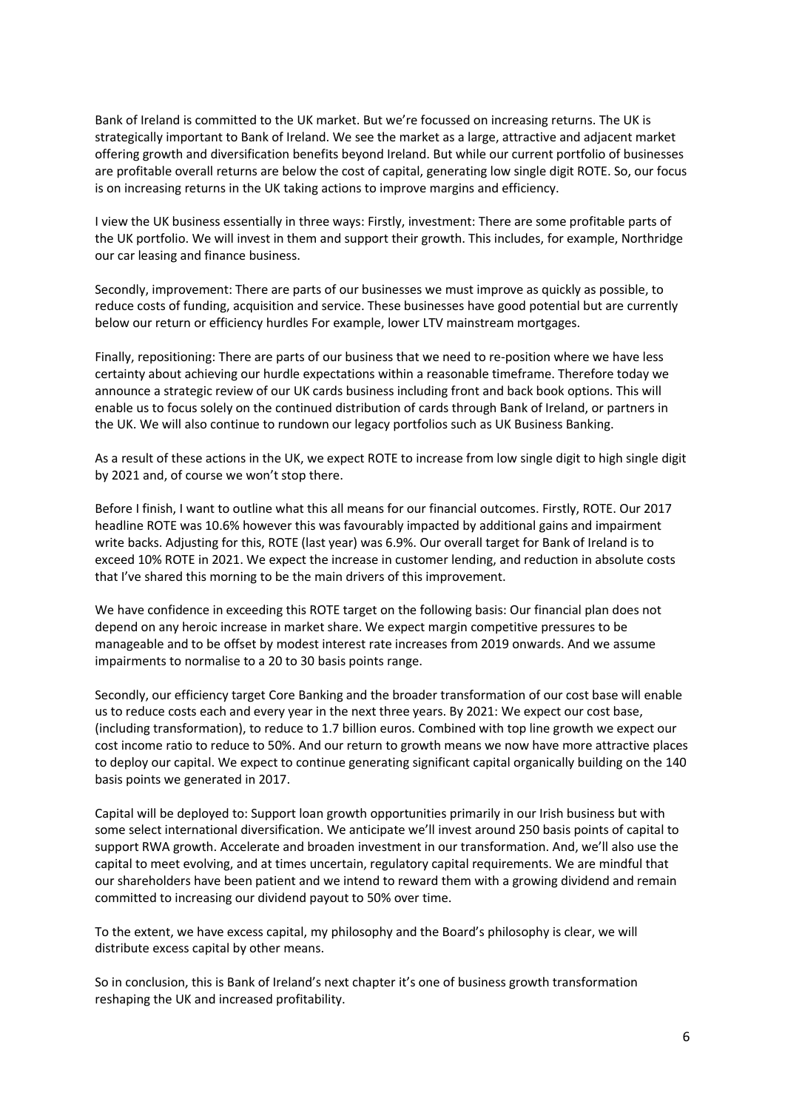Bank of Ireland is committed to the UK market. But we're focussed on increasing returns. The UK is strategically important to Bank of Ireland. We see the market as a large, attractive and adjacent market offering growth and diversification benefits beyond Ireland. But while our current portfolio of businesses are profitable overall returns are below the cost of capital, generating low single digit ROTE. So, our focus is on increasing returns in the UK taking actions to improve margins and efficiency.

I view the UK business essentially in three ways: Firstly, investment: There are some profitable parts of the UK portfolio. We will invest in them and support their growth. This includes, for example, Northridge our car leasing and finance business.

Secondly, improvement: There are parts of our businesses we must improve as quickly as possible, to reduce costs of funding, acquisition and service. These businesses have good potential but are currently below our return or efficiency hurdles For example, lower LTV mainstream mortgages.

Finally, repositioning: There are parts of our business that we need to re-position where we have less certainty about achieving our hurdle expectations within a reasonable timeframe. Therefore today we announce a strategic review of our UK cards business including front and back book options. This will enable us to focus solely on the continued distribution of cards through Bank of Ireland, or partners in the UK. We will also continue to rundown our legacy portfolios such as UK Business Banking.

As a result of these actions in the UK, we expect ROTE to increase from low single digit to high single digit by 2021 and, of course we won't stop there.

Before I finish, I want to outline what this all means for our financial outcomes. Firstly, ROTE. Our 2017 headline ROTE was 10.6% however this was favourably impacted by additional gains and impairment write backs. Adjusting for this, ROTE (last year) was 6.9%. Our overall target for Bank of Ireland is to exceed 10% ROTE in 2021. We expect the increase in customer lending, and reduction in absolute costs that I've shared this morning to be the main drivers of this improvement.

We have confidence in exceeding this ROTE target on the following basis: Our financial plan does not depend on any heroic increase in market share. We expect margin competitive pressures to be manageable and to be offset by modest interest rate increases from 2019 onwards. And we assume impairments to normalise to a 20 to 30 basis points range.

Secondly, our efficiency target Core Banking and the broader transformation of our cost base will enable us to reduce costs each and every year in the next three years. By 2021: We expect our cost base, (including transformation), to reduce to 1.7 billion euros. Combined with top line growth we expect our cost income ratio to reduce to 50%. And our return to growth means we now have more attractive places to deploy our capital. We expect to continue generating significant capital organically building on the 140 basis points we generated in 2017.

Capital will be deployed to: Support loan growth opportunities primarily in our Irish business but with some select international diversification. We anticipate we'll invest around 250 basis points of capital to support RWA growth. Accelerate and broaden investment in our transformation. And, we'll also use the capital to meet evolving, and at times uncertain, regulatory capital requirements. We are mindful that our shareholders have been patient and we intend to reward them with a growing dividend and remain committed to increasing our dividend payout to 50% over time.

To the extent, we have excess capital, my philosophy and the Board's philosophy is clear, we will distribute excess capital by other means.

So in conclusion, this is Bank of Ireland's next chapter it's one of business growth transformation reshaping the UK and increased profitability.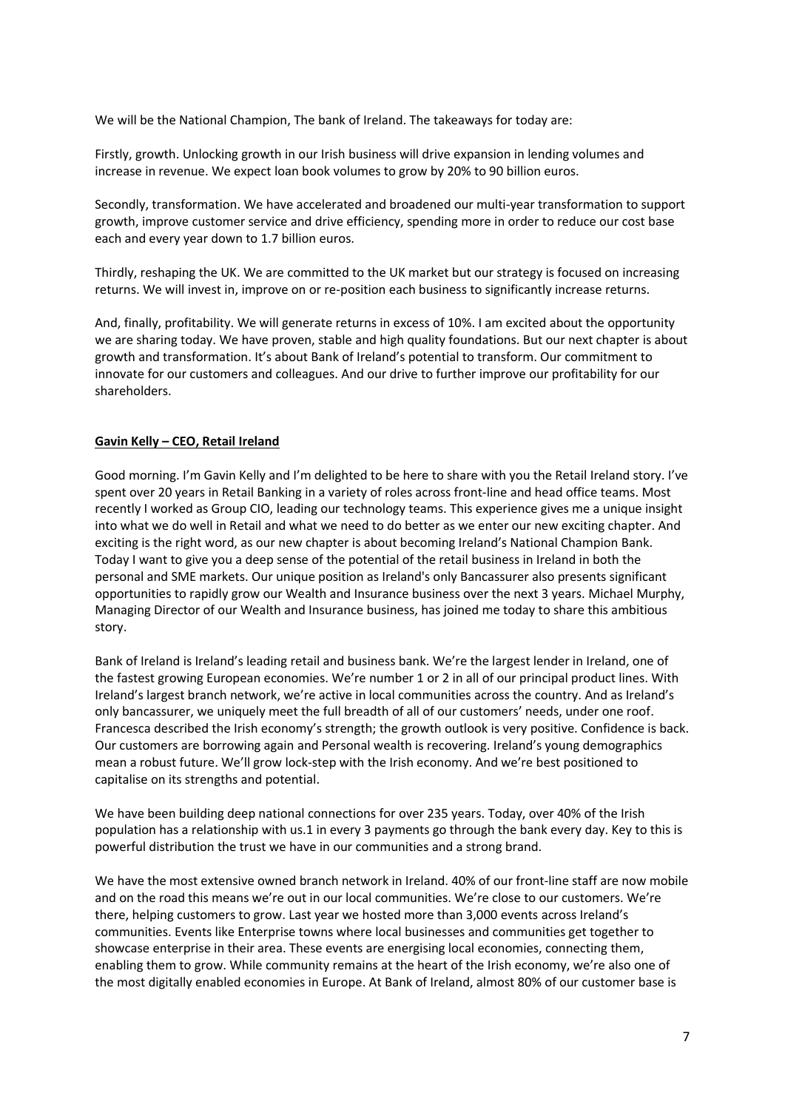We will be the National Champion, The bank of Ireland. The takeaways for today are:

Firstly, growth. Unlocking growth in our Irish business will drive expansion in lending volumes and increase in revenue. We expect loan book volumes to grow by 20% to 90 billion euros.

Secondly, transformation. We have accelerated and broadened our multi-year transformation to support growth, improve customer service and drive efficiency, spending more in order to reduce our cost base each and every year down to 1.7 billion euros.

Thirdly, reshaping the UK. We are committed to the UK market but our strategy is focused on increasing returns. We will invest in, improve on or re-position each business to significantly increase returns.

And, finally, profitability. We will generate returns in excess of 10%. I am excited about the opportunity we are sharing today. We have proven, stable and high quality foundations. But our next chapter is about growth and transformation. It's about Bank of Ireland's potential to transform. Our commitment to innovate for our customers and colleagues. And our drive to further improve our profitability for our shareholders.

## **Gavin Kelly – CEO, Retail Ireland**

Good morning. I'm Gavin Kelly and I'm delighted to be here to share with you the Retail Ireland story. I've spent over 20 years in Retail Banking in a variety of roles across front-line and head office teams. Most recently I worked as Group CIO, leading our technology teams. This experience gives me a unique insight into what we do well in Retail and what we need to do better as we enter our new exciting chapter. And exciting is the right word, as our new chapter is about becoming Ireland's National Champion Bank. Today I want to give you a deep sense of the potential of the retail business in Ireland in both the personal and SME markets. Our unique position as Ireland's only Bancassurer also presents significant opportunities to rapidly grow our Wealth and Insurance business over the next 3 years. Michael Murphy, Managing Director of our Wealth and Insurance business, has joined me today to share this ambitious story.

Bank of Ireland is Ireland's leading retail and business bank. We're the largest lender in Ireland, one of the fastest growing European economies. We're number 1 or 2 in all of our principal product lines. With Ireland's largest branch network, we're active in local communities across the country. And as Ireland's only bancassurer, we uniquely meet the full breadth of all of our customers' needs, under one roof. Francesca described the Irish economy's strength; the growth outlook is very positive. Confidence is back. Our customers are borrowing again and Personal wealth is recovering. Ireland's young demographics mean a robust future. We'll grow lock-step with the Irish economy. And we're best positioned to capitalise on its strengths and potential.

We have been building deep national connections for over 235 years. Today, over 40% of the Irish population has a relationship with us.1 in every 3 payments go through the bank every day. Key to this is powerful distribution the trust we have in our communities and a strong brand.

We have the most extensive owned branch network in Ireland. 40% of our front-line staff are now mobile and on the road this means we're out in our local communities. We're close to our customers. We're there, helping customers to grow. Last year we hosted more than 3,000 events across Ireland's communities. Events like Enterprise towns where local businesses and communities get together to showcase enterprise in their area. These events are energising local economies, connecting them, enabling them to grow. While community remains at the heart of the Irish economy, we're also one of the most digitally enabled economies in Europe. At Bank of Ireland, almost 80% of our customer base is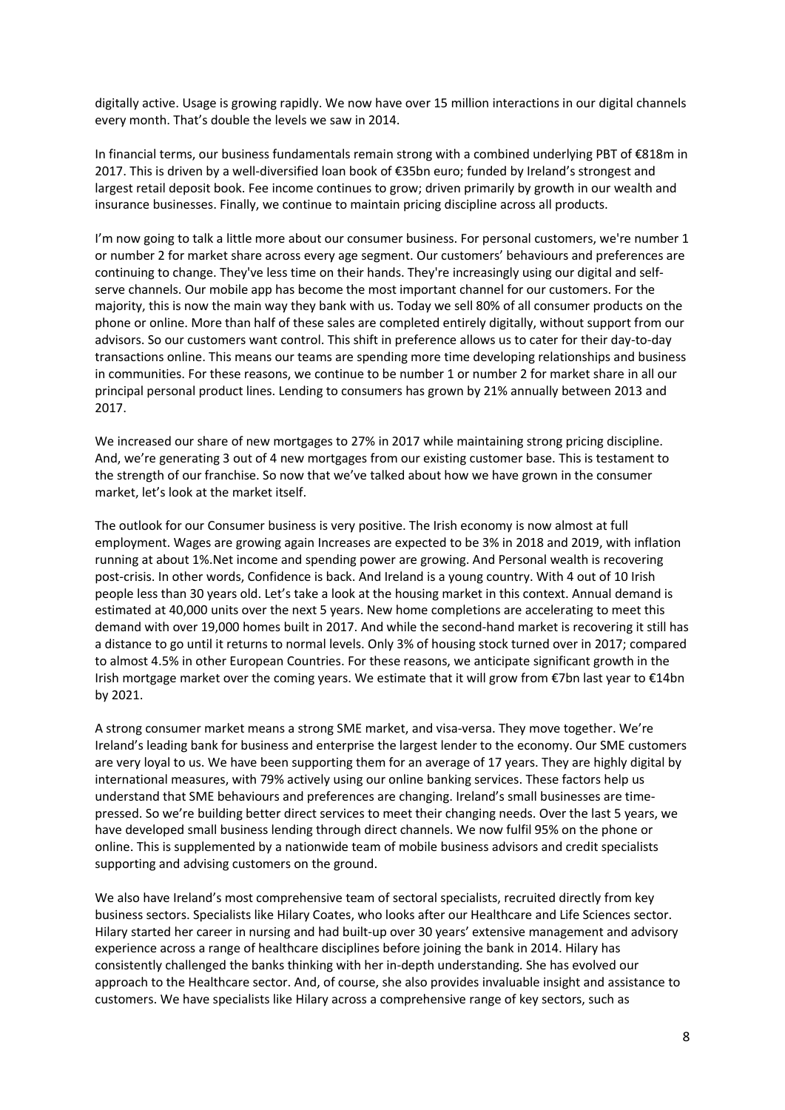digitally active. Usage is growing rapidly. We now have over 15 million interactions in our digital channels every month. That's double the levels we saw in 2014.

In financial terms, our business fundamentals remain strong with a combined underlying PBT of €818m in 2017. This is driven by a well-diversified loan book of €35bn euro; funded by Ireland's strongest and largest retail deposit book. Fee income continues to grow; driven primarily by growth in our wealth and insurance businesses. Finally, we continue to maintain pricing discipline across all products.

I'm now going to talk a little more about our consumer business. For personal customers, we're number 1 or number 2 for market share across every age segment. Our customers' behaviours and preferences are continuing to change. They've less time on their hands. They're increasingly using our digital and selfserve channels. Our mobile app has become the most important channel for our customers. For the majority, this is now the main way they bank with us. Today we sell 80% of all consumer products on the phone or online. More than half of these sales are completed entirely digitally, without support from our advisors. So our customers want control. This shift in preference allows us to cater for their day-to-day transactions online. This means our teams are spending more time developing relationships and business in communities. For these reasons, we continue to be number 1 or number 2 for market share in all our principal personal product lines. Lending to consumers has grown by 21% annually between 2013 and 2017.

We increased our share of new mortgages to 27% in 2017 while maintaining strong pricing discipline. And, we're generating 3 out of 4 new mortgages from our existing customer base. This is testament to the strength of our franchise. So now that we've talked about how we have grown in the consumer market, let's look at the market itself.

The outlook for our Consumer business is very positive. The Irish economy is now almost at full employment. Wages are growing again Increases are expected to be 3% in 2018 and 2019, with inflation running at about 1%.Net income and spending power are growing. And Personal wealth is recovering post-crisis. In other words, Confidence is back. And Ireland is a young country. With 4 out of 10 Irish people less than 30 years old. Let's take a look at the housing market in this context. Annual demand is estimated at 40,000 units over the next 5 years. New home completions are accelerating to meet this demand with over 19,000 homes built in 2017. And while the second-hand market is recovering it still has a distance to go until it returns to normal levels. Only 3% of housing stock turned over in 2017; compared to almost 4.5% in other European Countries. For these reasons, we anticipate significant growth in the Irish mortgage market over the coming years. We estimate that it will grow from €7bn last year to €14bn by 2021.

A strong consumer market means a strong SME market, and visa-versa. They move together. We're Ireland's leading bank for business and enterprise the largest lender to the economy. Our SME customers are very loyal to us. We have been supporting them for an average of 17 years. They are highly digital by international measures, with 79% actively using our online banking services. These factors help us understand that SME behaviours and preferences are changing. Ireland's small businesses are timepressed. So we're building better direct services to meet their changing needs. Over the last 5 years, we have developed small business lending through direct channels. We now fulfil 95% on the phone or online. This is supplemented by a nationwide team of mobile business advisors and credit specialists supporting and advising customers on the ground.

We also have Ireland's most comprehensive team of sectoral specialists, recruited directly from key business sectors. Specialists like Hilary Coates, who looks after our Healthcare and Life Sciences sector. Hilary started her career in nursing and had built-up over 30 years' extensive management and advisory experience across a range of healthcare disciplines before joining the bank in 2014. Hilary has consistently challenged the banks thinking with her in-depth understanding. She has evolved our approach to the Healthcare sector. And, of course, she also provides invaluable insight and assistance to customers. We have specialists like Hilary across a comprehensive range of key sectors, such as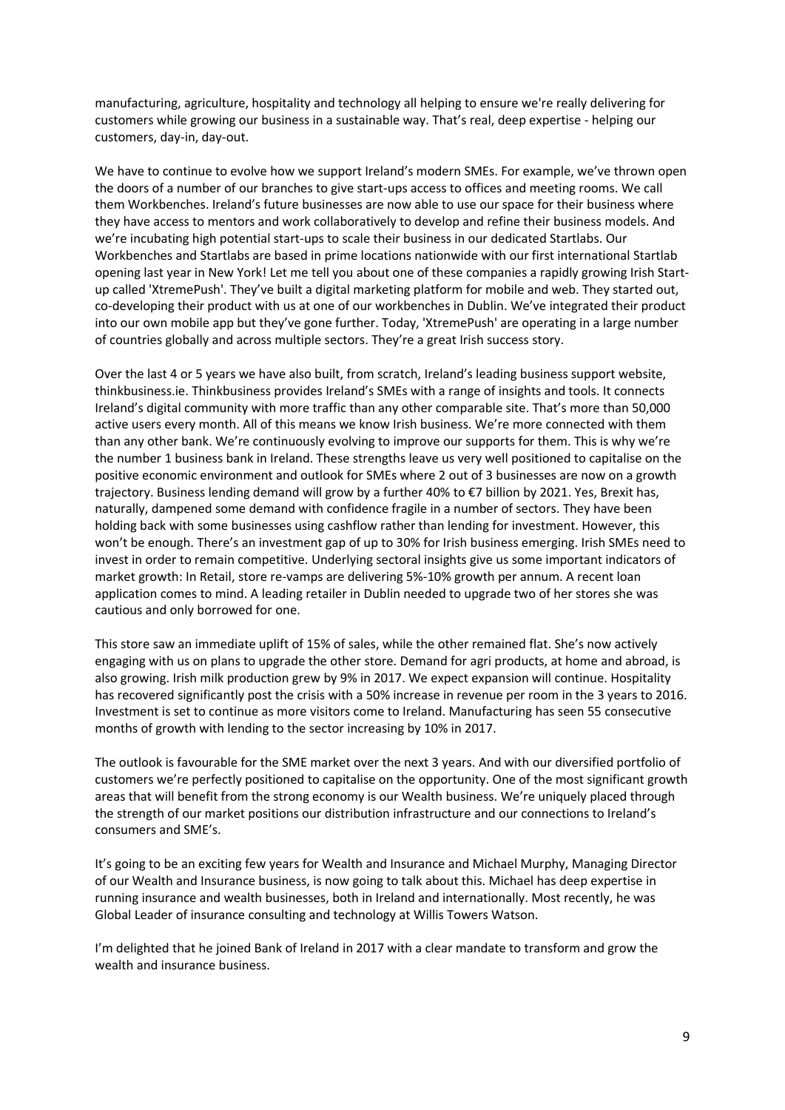manufacturing, agriculture, hospitality and technology all helping to ensure we're really delivering for customers while growing our business in a sustainable way. That's real, deep expertise - helping our customers, day-in, day-out.

We have to continue to evolve how we support Ireland's modern SMEs. For example, we've thrown open the doors of a number of our branches to give start-ups access to offices and meeting rooms. We call them Workbenches. Ireland's future businesses are now able to use our space for their business where they have access to mentors and work collaboratively to develop and refine their business models. And we're incubating high potential start-ups to scale their business in our dedicated Startlabs. Our Workbenches and Startlabs are based in prime locations nationwide with our first international Startlab opening last year in New York! Let me tell you about one of these companies a rapidly growing Irish Startup called 'XtremePush'. They've built a digital marketing platform for mobile and web. They started out, co-developing their product with us at one of our workbenches in Dublin. We've integrated their product into our own mobile app but they've gone further. Today, 'XtremePush' are operating in a large number of countries globally and across multiple sectors. They're a great Irish success story.

Over the last 4 or 5 years we have also built, from scratch, Ireland's leading business support website, thinkbusiness.ie. Thinkbusiness provides Ireland's SMEs with a range of insights and tools. It connects Ireland's digital community with more traffic than any other comparable site. That's more than 50,000 active users every month. All of this means we know Irish business. We're more connected with them than any other bank. We're continuously evolving to improve our supports for them. This is why we're the number 1 business bank in Ireland. These strengths leave us very well positioned to capitalise on the positive economic environment and outlook for SMEs where 2 out of 3 businesses are now on a growth trajectory. Business lending demand will grow by a further 40% to €7 billion by 2021. Yes, Brexit has, naturally, dampened some demand with confidence fragile in a number of sectors. They have been holding back with some businesses using cashflow rather than lending for investment. However, this won't be enough. There's an investment gap of up to 30% for Irish business emerging. Irish SMEs need to invest in order to remain competitive. Underlying sectoral insights give us some important indicators of market growth: In Retail, store re-vamps are delivering 5%-10% growth per annum. A recent loan application comes to mind. A leading retailer in Dublin needed to upgrade two of her stores she was cautious and only borrowed for one.

This store saw an immediate uplift of 15% of sales, while the other remained flat. She's now actively engaging with us on plans to upgrade the other store. Demand for agri products, at home and abroad, is also growing. Irish milk production grew by 9% in 2017. We expect expansion will continue. Hospitality has recovered significantly post the crisis with a 50% increase in revenue per room in the 3 years to 2016. Investment is set to continue as more visitors come to Ireland. Manufacturing has seen 55 consecutive months of growth with lending to the sector increasing by 10% in 2017.

The outlook is favourable for the SME market over the next 3 years. And with our diversified portfolio of customers we're perfectly positioned to capitalise on the opportunity. One of the most significant growth areas that will benefit from the strong economy is our Wealth business. We're uniquely placed through the strength of our market positions our distribution infrastructure and our connections to Ireland's consumers and SME's.

It's going to be an exciting few years for Wealth and Insurance and Michael Murphy, Managing Director of our Wealth and Insurance business, is now going to talk about this. Michael has deep expertise in running insurance and wealth businesses, both in Ireland and internationally. Most recently, he was Global Leader of insurance consulting and technology at Willis Towers Watson.

I'm delighted that he joined Bank of Ireland in 2017 with a clear mandate to transform and grow the wealth and insurance business.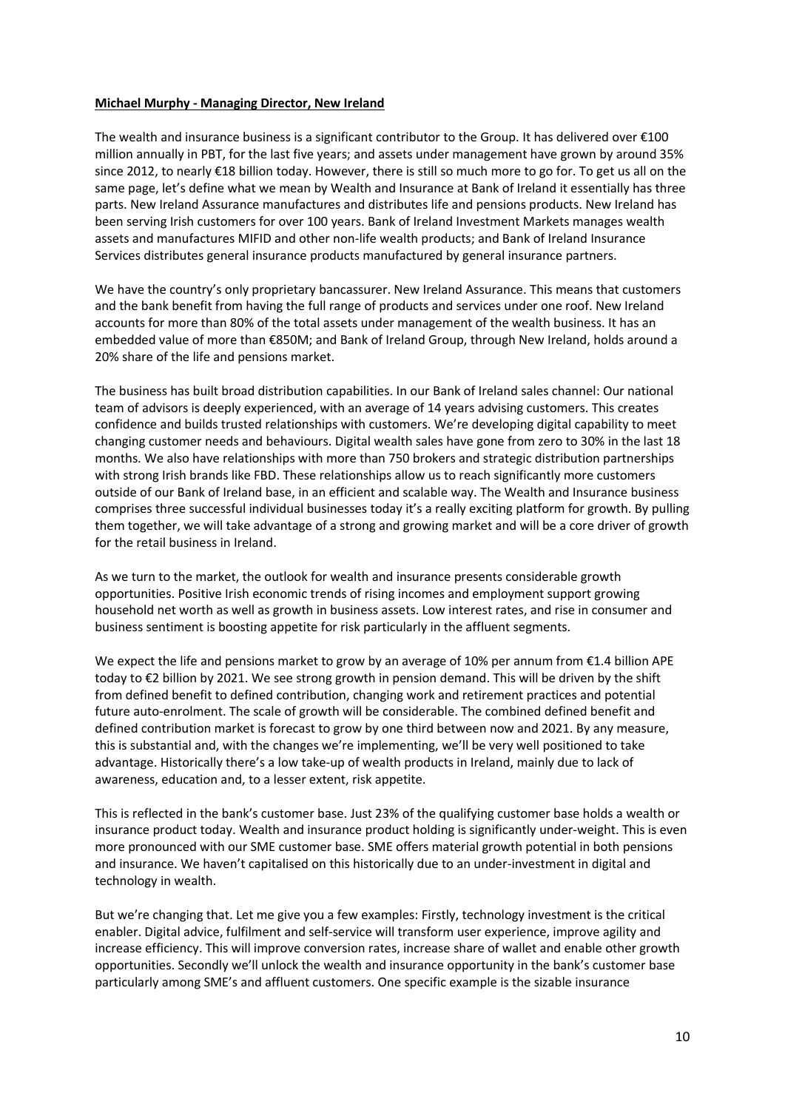#### **Michael Murphy - Managing Director, New Ireland**

The wealth and insurance business is a significant contributor to the Group. It has delivered over €100 million annually in PBT, for the last five years; and assets under management have grown by around 35% since 2012, to nearly €18 billion today. However, there is still so much more to go for. To get us all on the same page, let's define what we mean by Wealth and Insurance at Bank of Ireland it essentially has three parts. New Ireland Assurance manufactures and distributes life and pensions products. New Ireland has been serving Irish customers for over 100 years. Bank of Ireland Investment Markets manages wealth assets and manufactures MIFID and other non-life wealth products; and Bank of Ireland Insurance Services distributes general insurance products manufactured by general insurance partners.

We have the country's only proprietary bancassurer. New Ireland Assurance. This means that customers and the bank benefit from having the full range of products and services under one roof. New Ireland accounts for more than 80% of the total assets under management of the wealth business. It has an embedded value of more than €850M; and Bank of Ireland Group, through New Ireland, holds around a 20% share of the life and pensions market.

The business has built broad distribution capabilities. In our Bank of Ireland sales channel: Our national team of advisors is deeply experienced, with an average of 14 years advising customers. This creates confidence and builds trusted relationships with customers. We're developing digital capability to meet changing customer needs and behaviours. Digital wealth sales have gone from zero to 30% in the last 18 months. We also have relationships with more than 750 brokers and strategic distribution partnerships with strong Irish brands like FBD. These relationships allow us to reach significantly more customers outside of our Bank of Ireland base, in an efficient and scalable way. The Wealth and Insurance business comprises three successful individual businesses today it's a really exciting platform for growth. By pulling them together, we will take advantage of a strong and growing market and will be a core driver of growth for the retail business in Ireland.

As we turn to the market, the outlook for wealth and insurance presents considerable growth opportunities. Positive Irish economic trends of rising incomes and employment support growing household net worth as well as growth in business assets. Low interest rates, and rise in consumer and business sentiment is boosting appetite for risk particularly in the affluent segments.

We expect the life and pensions market to grow by an average of 10% per annum from €1.4 billion APE today to €2 billion by 2021. We see strong growth in pension demand. This will be driven by the shift from defined benefit to defined contribution, changing work and retirement practices and potential future auto-enrolment. The scale of growth will be considerable. The combined defined benefit and defined contribution market is forecast to grow by one third between now and 2021. By any measure, this is substantial and, with the changes we're implementing, we'll be very well positioned to take advantage. Historically there's a low take-up of wealth products in Ireland, mainly due to lack of awareness, education and, to a lesser extent, risk appetite.

This is reflected in the bank's customer base. Just 23% of the qualifying customer base holds a wealth or insurance product today. Wealth and insurance product holding is significantly under-weight. This is even more pronounced with our SME customer base. SME offers material growth potential in both pensions and insurance. We haven't capitalised on this historically due to an under-investment in digital and technology in wealth.

But we're changing that. Let me give you a few examples: Firstly, technology investment is the critical enabler. Digital advice, fulfilment and self-service will transform user experience, improve agility and increase efficiency. This will improve conversion rates, increase share of wallet and enable other growth opportunities. Secondly we'll unlock the wealth and insurance opportunity in the bank's customer base particularly among SME's and affluent customers. One specific example is the sizable insurance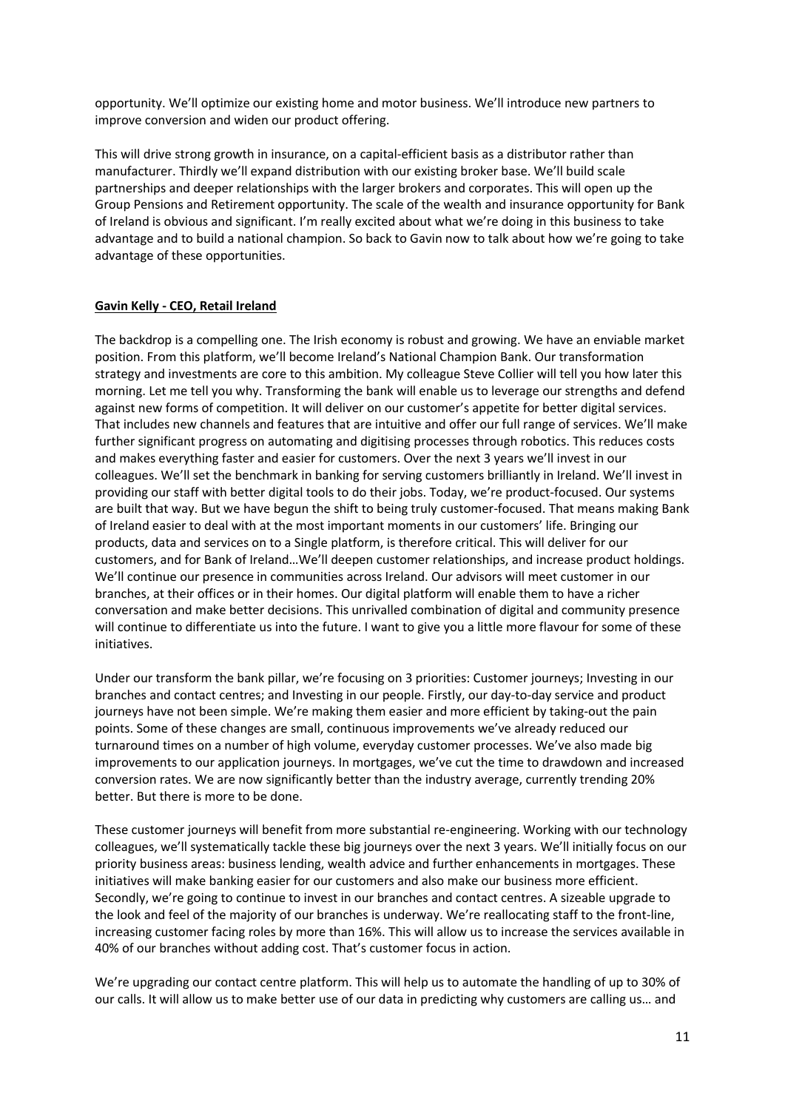opportunity. We'll optimize our existing home and motor business. We'll introduce new partners to improve conversion and widen our product offering.

This will drive strong growth in insurance, on a capital-efficient basis as a distributor rather than manufacturer. Thirdly we'll expand distribution with our existing broker base. We'll build scale partnerships and deeper relationships with the larger brokers and corporates. This will open up the Group Pensions and Retirement opportunity. The scale of the wealth and insurance opportunity for Bank of Ireland is obvious and significant. I'm really excited about what we're doing in this business to take advantage and to build a national champion. So back to Gavin now to talk about how we're going to take advantage of these opportunities.

## **Gavin Kelly - CEO, Retail Ireland**

The backdrop is a compelling one. The Irish economy is robust and growing. We have an enviable market position. From this platform, we'll become Ireland's National Champion Bank. Our transformation strategy and investments are core to this ambition. My colleague Steve Collier will tell you how later this morning. Let me tell you why. Transforming the bank will enable us to leverage our strengths and defend against new forms of competition. It will deliver on our customer's appetite for better digital services. That includes new channels and features that are intuitive and offer our full range of services. We'll make further significant progress on automating and digitising processes through robotics. This reduces costs and makes everything faster and easier for customers. Over the next 3 years we'll invest in our colleagues. We'll set the benchmark in banking for serving customers brilliantly in Ireland. We'll invest in providing our staff with better digital tools to do their jobs. Today, we're product-focused. Our systems are built that way. But we have begun the shift to being truly customer-focused. That means making Bank of Ireland easier to deal with at the most important moments in our customers' life. Bringing our products, data and services on to a Single platform, is therefore critical. This will deliver for our customers, and for Bank of Ireland…We'll deepen customer relationships, and increase product holdings. We'll continue our presence in communities across Ireland. Our advisors will meet customer in our branches, at their offices or in their homes. Our digital platform will enable them to have a richer conversation and make better decisions. This unrivalled combination of digital and community presence will continue to differentiate us into the future. I want to give you a little more flavour for some of these initiatives.

Under our transform the bank pillar, we're focusing on 3 priorities: Customer journeys; Investing in our branches and contact centres; and Investing in our people. Firstly, our day-to-day service and product journeys have not been simple. We're making them easier and more efficient by taking-out the pain points. Some of these changes are small, continuous improvements we've already reduced our turnaround times on a number of high volume, everyday customer processes. We've also made big improvements to our application journeys. In mortgages, we've cut the time to drawdown and increased conversion rates. We are now significantly better than the industry average, currently trending 20% better. But there is more to be done.

These customer journeys will benefit from more substantial re-engineering. Working with our technology colleagues, we'll systematically tackle these big journeys over the next 3 years. We'll initially focus on our priority business areas: business lending, wealth advice and further enhancements in mortgages. These initiatives will make banking easier for our customers and also make our business more efficient. Secondly, we're going to continue to invest in our branches and contact centres. A sizeable upgrade to the look and feel of the majority of our branches is underway. We're reallocating staff to the front-line, increasing customer facing roles by more than 16%. This will allow us to increase the services available in 40% of our branches without adding cost. That's customer focus in action.

We're upgrading our contact centre platform. This will help us to automate the handling of up to 30% of our calls. It will allow us to make better use of our data in predicting why customers are calling us… and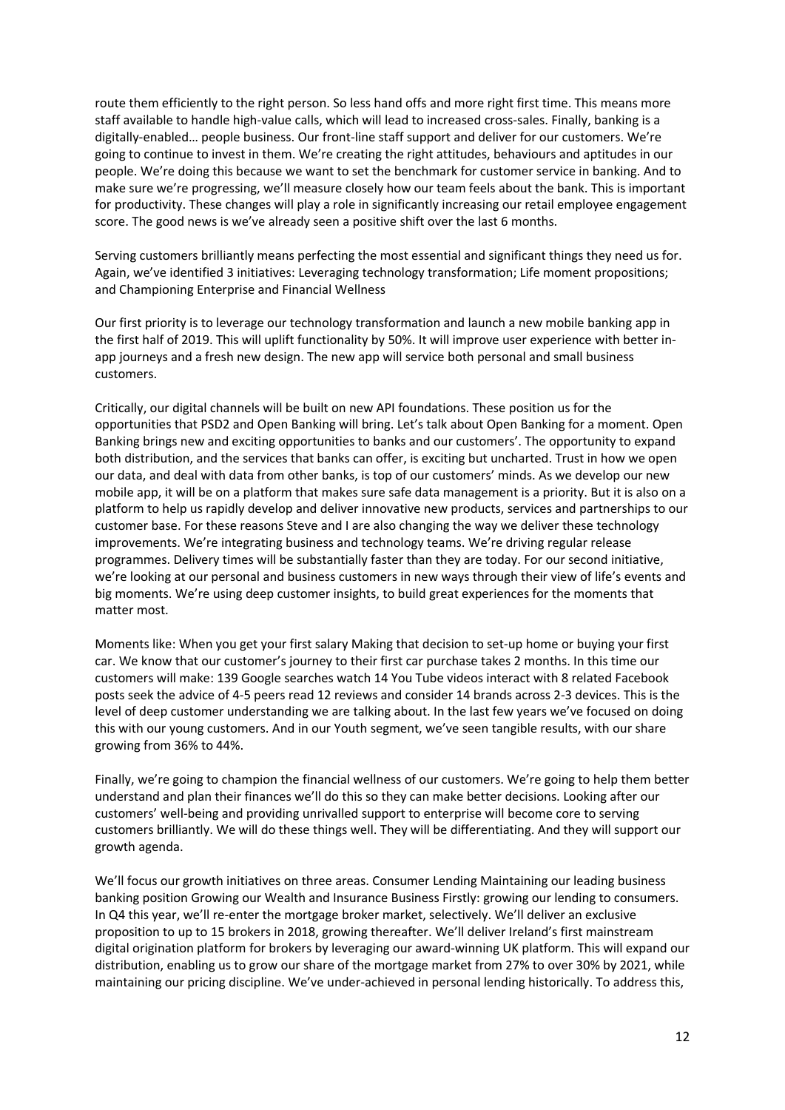route them efficiently to the right person. So less hand offs and more right first time. This means more staff available to handle high-value calls, which will lead to increased cross-sales. Finally, banking is a digitally-enabled… people business. Our front-line staff support and deliver for our customers. We're going to continue to invest in them. We're creating the right attitudes, behaviours and aptitudes in our people. We're doing this because we want to set the benchmark for customer service in banking. And to make sure we're progressing, we'll measure closely how our team feels about the bank. This is important for productivity. These changes will play a role in significantly increasing our retail employee engagement score. The good news is we've already seen a positive shift over the last 6 months.

Serving customers brilliantly means perfecting the most essential and significant things they need us for. Again, we've identified 3 initiatives: Leveraging technology transformation; Life moment propositions; and Championing Enterprise and Financial Wellness

Our first priority is to leverage our technology transformation and launch a new mobile banking app in the first half of 2019. This will uplift functionality by 50%. It will improve user experience with better inapp journeys and a fresh new design. The new app will service both personal and small business customers.

Critically, our digital channels will be built on new API foundations. These position us for the opportunities that PSD2 and Open Banking will bring. Let's talk about Open Banking for a moment. Open Banking brings new and exciting opportunities to banks and our customers'. The opportunity to expand both distribution, and the services that banks can offer, is exciting but uncharted. Trust in how we open our data, and deal with data from other banks, is top of our customers' minds. As we develop our new mobile app, it will be on a platform that makes sure safe data management is a priority. But it is also on a platform to help us rapidly develop and deliver innovative new products, services and partnerships to our customer base. For these reasons Steve and I are also changing the way we deliver these technology improvements. We're integrating business and technology teams. We're driving regular release programmes. Delivery times will be substantially faster than they are today. For our second initiative, we're looking at our personal and business customers in new ways through their view of life's events and big moments. We're using deep customer insights, to build great experiences for the moments that matter most.

Moments like: When you get your first salary Making that decision to set-up home or buying your first car. We know that our customer's journey to their first car purchase takes 2 months. In this time our customers will make: 139 Google searches watch 14 You Tube videos interact with 8 related Facebook posts seek the advice of 4-5 peers read 12 reviews and consider 14 brands across 2-3 devices. This is the level of deep customer understanding we are talking about. In the last few years we've focused on doing this with our young customers. And in our Youth segment, we've seen tangible results, with our share growing from 36% to 44%.

Finally, we're going to champion the financial wellness of our customers. We're going to help them better understand and plan their finances we'll do this so they can make better decisions. Looking after our customers' well-being and providing unrivalled support to enterprise will become core to serving customers brilliantly. We will do these things well. They will be differentiating. And they will support our growth agenda.

We'll focus our growth initiatives on three areas. Consumer Lending Maintaining our leading business banking position Growing our Wealth and Insurance Business Firstly: growing our lending to consumers. In Q4 this year, we'll re-enter the mortgage broker market, selectively. We'll deliver an exclusive proposition to up to 15 brokers in 2018, growing thereafter. We'll deliver Ireland's first mainstream digital origination platform for brokers by leveraging our award-winning UK platform. This will expand our distribution, enabling us to grow our share of the mortgage market from 27% to over 30% by 2021, while maintaining our pricing discipline. We've under-achieved in personal lending historically. To address this,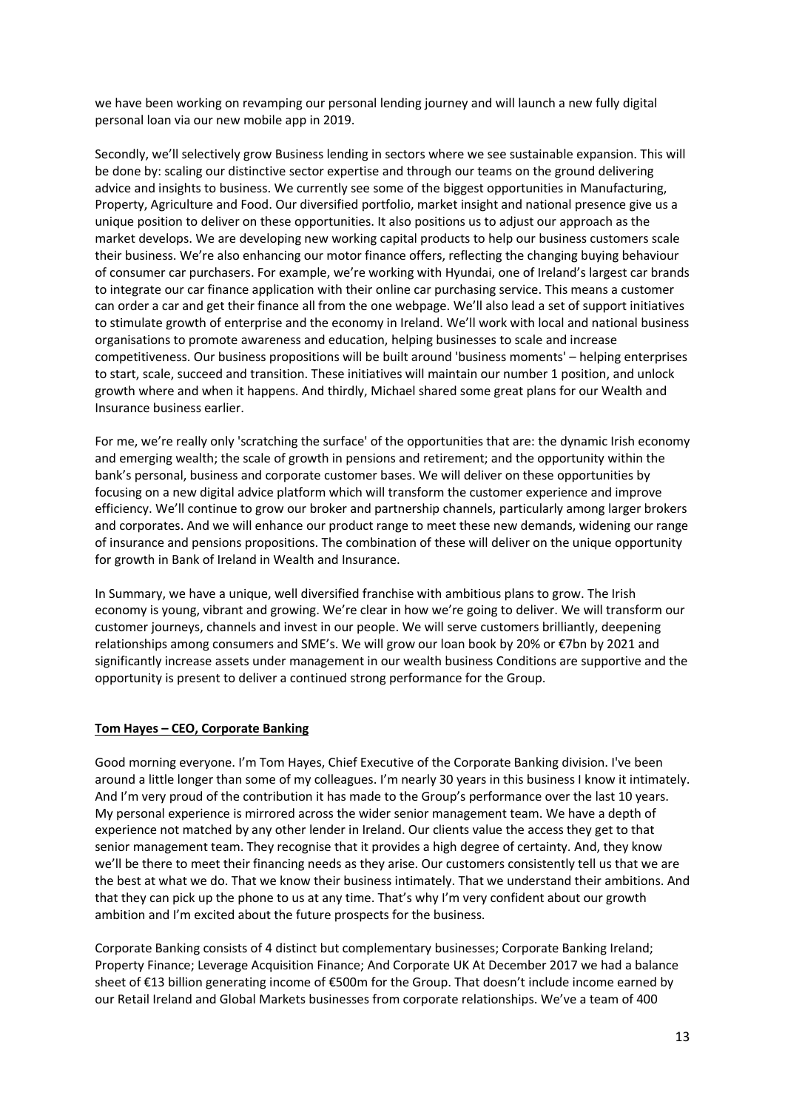we have been working on revamping our personal lending journey and will launch a new fully digital personal loan via our new mobile app in 2019.

Secondly, we'll selectively grow Business lending in sectors where we see sustainable expansion. This will be done by: scaling our distinctive sector expertise and through our teams on the ground delivering advice and insights to business. We currently see some of the biggest opportunities in Manufacturing, Property, Agriculture and Food. Our diversified portfolio, market insight and national presence give us a unique position to deliver on these opportunities. It also positions us to adjust our approach as the market develops. We are developing new working capital products to help our business customers scale their business. We're also enhancing our motor finance offers, reflecting the changing buying behaviour of consumer car purchasers. For example, we're working with Hyundai, one of Ireland's largest car brands to integrate our car finance application with their online car purchasing service. This means a customer can order a car and get their finance all from the one webpage. We'll also lead a set of support initiatives to stimulate growth of enterprise and the economy in Ireland. We'll work with local and national business organisations to promote awareness and education, helping businesses to scale and increase competitiveness. Our business propositions will be built around 'business moments' – helping enterprises to start, scale, succeed and transition. These initiatives will maintain our number 1 position, and unlock growth where and when it happens. And thirdly, Michael shared some great plans for our Wealth and Insurance business earlier.

For me, we're really only 'scratching the surface' of the opportunities that are: the dynamic Irish economy and emerging wealth; the scale of growth in pensions and retirement; and the opportunity within the bank's personal, business and corporate customer bases. We will deliver on these opportunities by focusing on a new digital advice platform which will transform the customer experience and improve efficiency. We'll continue to grow our broker and partnership channels, particularly among larger brokers and corporates. And we will enhance our product range to meet these new demands, widening our range of insurance and pensions propositions. The combination of these will deliver on the unique opportunity for growth in Bank of Ireland in Wealth and Insurance.

In Summary, we have a unique, well diversified franchise with ambitious plans to grow. The Irish economy is young, vibrant and growing. We're clear in how we're going to deliver. We will transform our customer journeys, channels and invest in our people. We will serve customers brilliantly, deepening relationships among consumers and SME's. We will grow our loan book by 20% or €7bn by 2021 and significantly increase assets under management in our wealth business Conditions are supportive and the opportunity is present to deliver a continued strong performance for the Group.

## **Tom Hayes – CEO, Corporate Banking**

Good morning everyone. I'm Tom Hayes, Chief Executive of the Corporate Banking division. I've been around a little longer than some of my colleagues. I'm nearly 30 years in this business I know it intimately. And I'm very proud of the contribution it has made to the Group's performance over the last 10 years. My personal experience is mirrored across the wider senior management team. We have a depth of experience not matched by any other lender in Ireland. Our clients value the access they get to that senior management team. They recognise that it provides a high degree of certainty. And, they know we'll be there to meet their financing needs as they arise. Our customers consistently tell us that we are the best at what we do. That we know their business intimately. That we understand their ambitions. And that they can pick up the phone to us at any time. That's why I'm very confident about our growth ambition and I'm excited about the future prospects for the business.

Corporate Banking consists of 4 distinct but complementary businesses; Corporate Banking Ireland; Property Finance; Leverage Acquisition Finance; And Corporate UK At December 2017 we had a balance sheet of €13 billion generating income of €500m for the Group. That doesn't include income earned by our Retail Ireland and Global Markets businesses from corporate relationships. We've a team of 400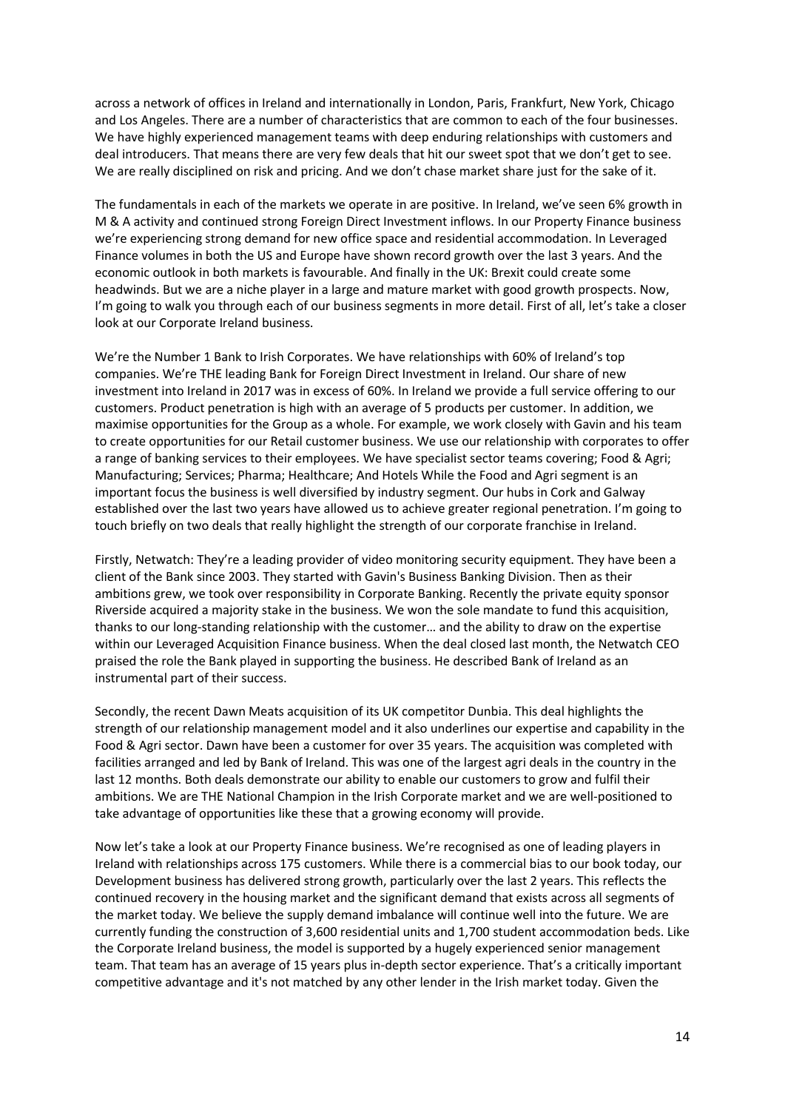across a network of offices in Ireland and internationally in London, Paris, Frankfurt, New York, Chicago and Los Angeles. There are a number of characteristics that are common to each of the four businesses. We have highly experienced management teams with deep enduring relationships with customers and deal introducers. That means there are very few deals that hit our sweet spot that we don't get to see. We are really disciplined on risk and pricing. And we don't chase market share just for the sake of it.

The fundamentals in each of the markets we operate in are positive. In Ireland, we've seen 6% growth in M & A activity and continued strong Foreign Direct Investment inflows. In our Property Finance business we're experiencing strong demand for new office space and residential accommodation. In Leveraged Finance volumes in both the US and Europe have shown record growth over the last 3 years. And the economic outlook in both markets is favourable. And finally in the UK: Brexit could create some headwinds. But we are a niche player in a large and mature market with good growth prospects. Now, I'm going to walk you through each of our business segments in more detail. First of all, let's take a closer look at our Corporate Ireland business.

We're the Number 1 Bank to Irish Corporates. We have relationships with 60% of Ireland's top companies. We're THE leading Bank for Foreign Direct Investment in Ireland. Our share of new investment into Ireland in 2017 was in excess of 60%. In Ireland we provide a full service offering to our customers. Product penetration is high with an average of 5 products per customer. In addition, we maximise opportunities for the Group as a whole. For example, we work closely with Gavin and his team to create opportunities for our Retail customer business. We use our relationship with corporates to offer a range of banking services to their employees. We have specialist sector teams covering; Food & Agri; Manufacturing; Services; Pharma; Healthcare; And Hotels While the Food and Agri segment is an important focus the business is well diversified by industry segment. Our hubs in Cork and Galway established over the last two years have allowed us to achieve greater regional penetration. I'm going to touch briefly on two deals that really highlight the strength of our corporate franchise in Ireland.

Firstly, Netwatch: They're a leading provider of video monitoring security equipment. They have been a client of the Bank since 2003. They started with Gavin's Business Banking Division. Then as their ambitions grew, we took over responsibility in Corporate Banking. Recently the private equity sponsor Riverside acquired a majority stake in the business. We won the sole mandate to fund this acquisition, thanks to our long-standing relationship with the customer… and the ability to draw on the expertise within our Leveraged Acquisition Finance business. When the deal closed last month, the Netwatch CEO praised the role the Bank played in supporting the business. He described Bank of Ireland as an instrumental part of their success.

Secondly, the recent Dawn Meats acquisition of its UK competitor Dunbia. This deal highlights the strength of our relationship management model and it also underlines our expertise and capability in the Food & Agri sector. Dawn have been a customer for over 35 years. The acquisition was completed with facilities arranged and led by Bank of Ireland. This was one of the largest agri deals in the country in the last 12 months. Both deals demonstrate our ability to enable our customers to grow and fulfil their ambitions. We are THE National Champion in the Irish Corporate market and we are well-positioned to take advantage of opportunities like these that a growing economy will provide.

Now let's take a look at our Property Finance business. We're recognised as one of leading players in Ireland with relationships across 175 customers. While there is a commercial bias to our book today, our Development business has delivered strong growth, particularly over the last 2 years. This reflects the continued recovery in the housing market and the significant demand that exists across all segments of the market today. We believe the supply demand imbalance will continue well into the future. We are currently funding the construction of 3,600 residential units and 1,700 student accommodation beds. Like the Corporate Ireland business, the model is supported by a hugely experienced senior management team. That team has an average of 15 years plus in-depth sector experience. That's a critically important competitive advantage and it's not matched by any other lender in the Irish market today. Given the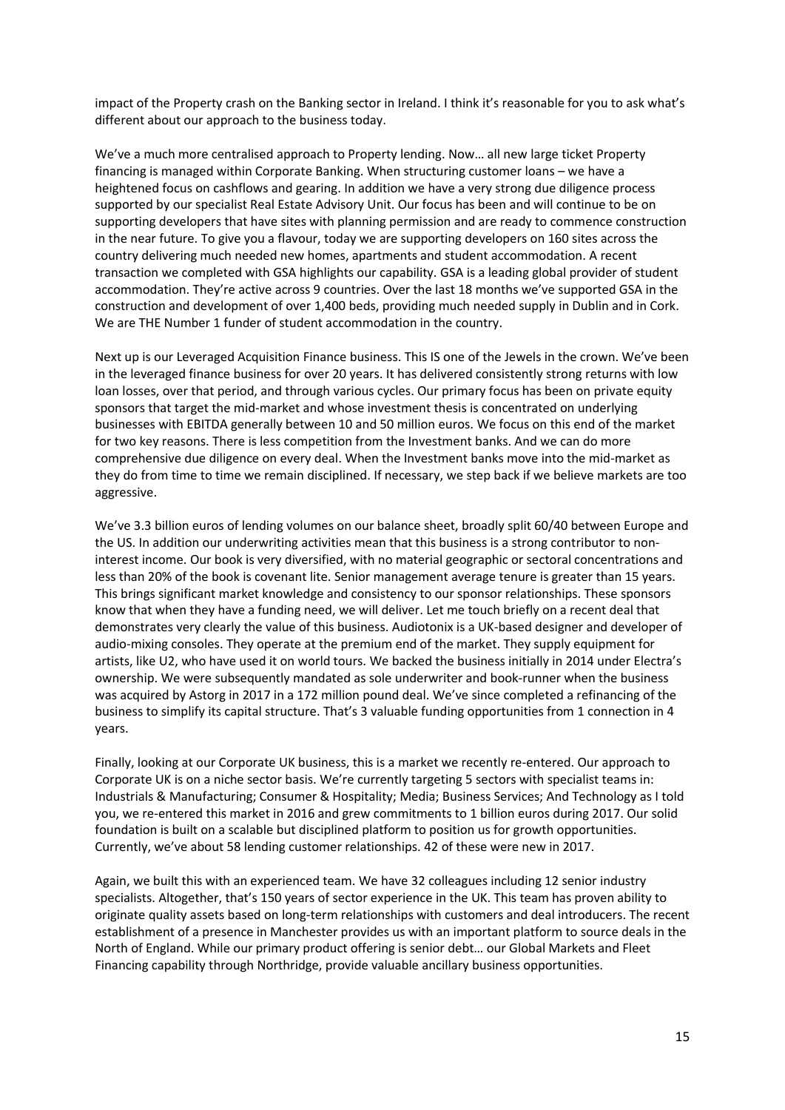impact of the Property crash on the Banking sector in Ireland. I think it's reasonable for you to ask what's different about our approach to the business today.

We've a much more centralised approach to Property lending. Now… all new large ticket Property financing is managed within Corporate Banking. When structuring customer loans – we have a heightened focus on cashflows and gearing. In addition we have a very strong due diligence process supported by our specialist Real Estate Advisory Unit. Our focus has been and will continue to be on supporting developers that have sites with planning permission and are ready to commence construction in the near future. To give you a flavour, today we are supporting developers on 160 sites across the country delivering much needed new homes, apartments and student accommodation. A recent transaction we completed with GSA highlights our capability. GSA is a leading global provider of student accommodation. They're active across 9 countries. Over the last 18 months we've supported GSA in the construction and development of over 1,400 beds, providing much needed supply in Dublin and in Cork. We are THE Number 1 funder of student accommodation in the country.

Next up is our Leveraged Acquisition Finance business. This IS one of the Jewels in the crown. We've been in the leveraged finance business for over 20 years. It has delivered consistently strong returns with low loan losses, over that period, and through various cycles. Our primary focus has been on private equity sponsors that target the mid-market and whose investment thesis is concentrated on underlying businesses with EBITDA generally between 10 and 50 million euros. We focus on this end of the market for two key reasons. There is less competition from the Investment banks. And we can do more comprehensive due diligence on every deal. When the Investment banks move into the mid-market as they do from time to time we remain disciplined. If necessary, we step back if we believe markets are too aggressive.

We've 3.3 billion euros of lending volumes on our balance sheet, broadly split 60/40 between Europe and the US. In addition our underwriting activities mean that this business is a strong contributor to noninterest income. Our book is very diversified, with no material geographic or sectoral concentrations and less than 20% of the book is covenant lite. Senior management average tenure is greater than 15 years. This brings significant market knowledge and consistency to our sponsor relationships. These sponsors know that when they have a funding need, we will deliver. Let me touch briefly on a recent deal that demonstrates very clearly the value of this business. Audiotonix is a UK-based designer and developer of audio-mixing consoles. They operate at the premium end of the market. They supply equipment for artists, like U2, who have used it on world tours. We backed the business initially in 2014 under Electra's ownership. We were subsequently mandated as sole underwriter and book-runner when the business was acquired by Astorg in 2017 in a 172 million pound deal. We've since completed a refinancing of the business to simplify its capital structure. That's 3 valuable funding opportunities from 1 connection in 4 years.

Finally, looking at our Corporate UK business, this is a market we recently re-entered. Our approach to Corporate UK is on a niche sector basis. We're currently targeting 5 sectors with specialist teams in: Industrials & Manufacturing; Consumer & Hospitality; Media; Business Services; And Technology as I told you, we re-entered this market in 2016 and grew commitments to 1 billion euros during 2017. Our solid foundation is built on a scalable but disciplined platform to position us for growth opportunities. Currently, we've about 58 lending customer relationships. 42 of these were new in 2017.

Again, we built this with an experienced team. We have 32 colleagues including 12 senior industry specialists. Altogether, that's 150 years of sector experience in the UK. This team has proven ability to originate quality assets based on long-term relationships with customers and deal introducers. The recent establishment of a presence in Manchester provides us with an important platform to source deals in the North of England. While our primary product offering is senior debt… our Global Markets and Fleet Financing capability through Northridge, provide valuable ancillary business opportunities.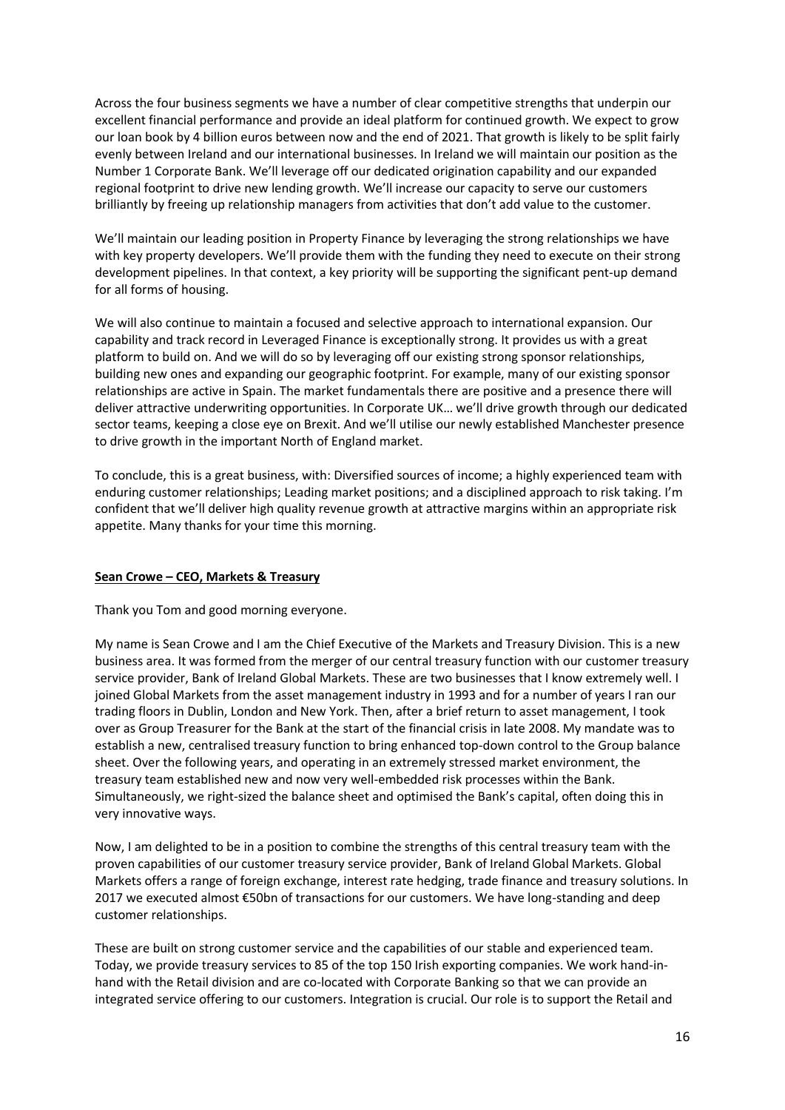Across the four business segments we have a number of clear competitive strengths that underpin our excellent financial performance and provide an ideal platform for continued growth. We expect to grow our loan book by 4 billion euros between now and the end of 2021. That growth is likely to be split fairly evenly between Ireland and our international businesses. In Ireland we will maintain our position as the Number 1 Corporate Bank. We'll leverage off our dedicated origination capability and our expanded regional footprint to drive new lending growth. We'll increase our capacity to serve our customers brilliantly by freeing up relationship managers from activities that don't add value to the customer.

We'll maintain our leading position in Property Finance by leveraging the strong relationships we have with key property developers. We'll provide them with the funding they need to execute on their strong development pipelines. In that context, a key priority will be supporting the significant pent-up demand for all forms of housing.

We will also continue to maintain a focused and selective approach to international expansion. Our capability and track record in Leveraged Finance is exceptionally strong. It provides us with a great platform to build on. And we will do so by leveraging off our existing strong sponsor relationships, building new ones and expanding our geographic footprint. For example, many of our existing sponsor relationships are active in Spain. The market fundamentals there are positive and a presence there will deliver attractive underwriting opportunities. In Corporate UK… we'll drive growth through our dedicated sector teams, keeping a close eye on Brexit. And we'll utilise our newly established Manchester presence to drive growth in the important North of England market.

To conclude, this is a great business, with: Diversified sources of income; a highly experienced team with enduring customer relationships; Leading market positions; and a disciplined approach to risk taking. I'm confident that we'll deliver high quality revenue growth at attractive margins within an appropriate risk appetite. Many thanks for your time this morning.

## **Sean Crowe – CEO, Markets & Treasury**

Thank you Tom and good morning everyone.

My name is Sean Crowe and I am the Chief Executive of the Markets and Treasury Division. This is a new business area. It was formed from the merger of our central treasury function with our customer treasury service provider, Bank of Ireland Global Markets. These are two businesses that I know extremely well. I joined Global Markets from the asset management industry in 1993 and for a number of years I ran our trading floors in Dublin, London and New York. Then, after a brief return to asset management, I took over as Group Treasurer for the Bank at the start of the financial crisis in late 2008. My mandate was to establish a new, centralised treasury function to bring enhanced top-down control to the Group balance sheet. Over the following years, and operating in an extremely stressed market environment, the treasury team established new and now very well-embedded risk processes within the Bank. Simultaneously, we right-sized the balance sheet and optimised the Bank's capital, often doing this in very innovative ways.

Now, I am delighted to be in a position to combine the strengths of this central treasury team with the proven capabilities of our customer treasury service provider, Bank of Ireland Global Markets. Global Markets offers a range of foreign exchange, interest rate hedging, trade finance and treasury solutions. In 2017 we executed almost €50bn of transactions for our customers. We have long-standing and deep customer relationships.

These are built on strong customer service and the capabilities of our stable and experienced team. Today, we provide treasury services to 85 of the top 150 Irish exporting companies. We work hand-inhand with the Retail division and are co-located with Corporate Banking so that we can provide an integrated service offering to our customers. Integration is crucial. Our role is to support the Retail and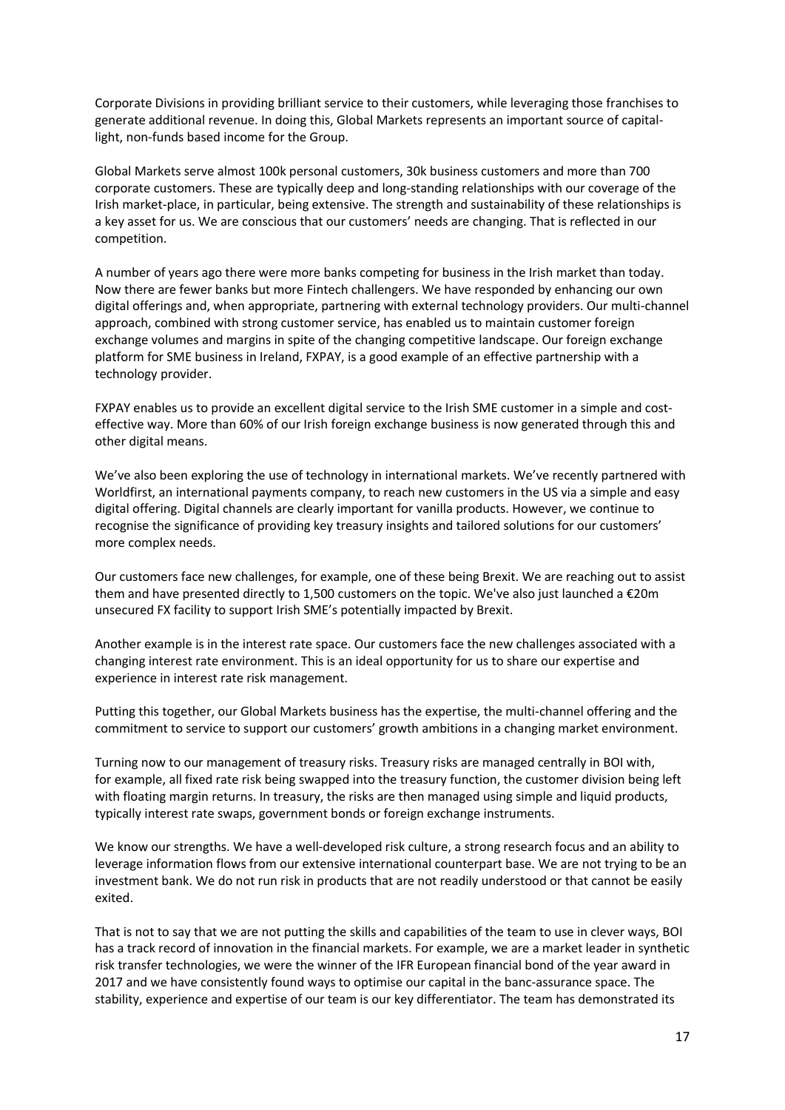Corporate Divisions in providing brilliant service to their customers, while leveraging those franchises to generate additional revenue. In doing this, Global Markets represents an important source of capitallight, non-funds based income for the Group.

Global Markets serve almost 100k personal customers, 30k business customers and more than 700 corporate customers. These are typically deep and long-standing relationships with our coverage of the Irish market-place, in particular, being extensive. The strength and sustainability of these relationships is a key asset for us. We are conscious that our customers' needs are changing. That is reflected in our competition.

A number of years ago there were more banks competing for business in the Irish market than today. Now there are fewer banks but more Fintech challengers. We have responded by enhancing our own digital offerings and, when appropriate, partnering with external technology providers. Our multi-channel approach, combined with strong customer service, has enabled us to maintain customer foreign exchange volumes and margins in spite of the changing competitive landscape. Our foreign exchange platform for SME business in Ireland, FXPAY, is a good example of an effective partnership with a technology provider.

FXPAY enables us to provide an excellent digital service to the Irish SME customer in a simple and costeffective way. More than 60% of our Irish foreign exchange business is now generated through this and other digital means.

We've also been exploring the use of technology in international markets. We've recently partnered with Worldfirst, an international payments company, to reach new customers in the US via a simple and easy digital offering. Digital channels are clearly important for vanilla products. However, we continue to recognise the significance of providing key treasury insights and tailored solutions for our customers' more complex needs.

Our customers face new challenges, for example, one of these being Brexit. We are reaching out to assist them and have presented directly to 1,500 customers on the topic. We've also just launched a €20m unsecured FX facility to support Irish SME's potentially impacted by Brexit.

Another example is in the interest rate space. Our customers face the new challenges associated with a changing interest rate environment. This is an ideal opportunity for us to share our expertise and experience in interest rate risk management.

Putting this together, our Global Markets business has the expertise, the multi-channel offering and the commitment to service to support our customers' growth ambitions in a changing market environment.

Turning now to our management of treasury risks. Treasury risks are managed centrally in BOI with, for example, all fixed rate risk being swapped into the treasury function, the customer division being left with floating margin returns. In treasury, the risks are then managed using simple and liquid products, typically interest rate swaps, government bonds or foreign exchange instruments.

We know our strengths. We have a well-developed risk culture, a strong research focus and an ability to leverage information flows from our extensive international counterpart base. We are not trying to be an investment bank. We do not run risk in products that are not readily understood or that cannot be easily exited.

That is not to say that we are not putting the skills and capabilities of the team to use in clever ways, BOI has a track record of innovation in the financial markets. For example, we are a market leader in synthetic risk transfer technologies, we were the winner of the IFR European financial bond of the year award in 2017 and we have consistently found ways to optimise our capital in the banc-assurance space. The stability, experience and expertise of our team is our key differentiator. The team has demonstrated its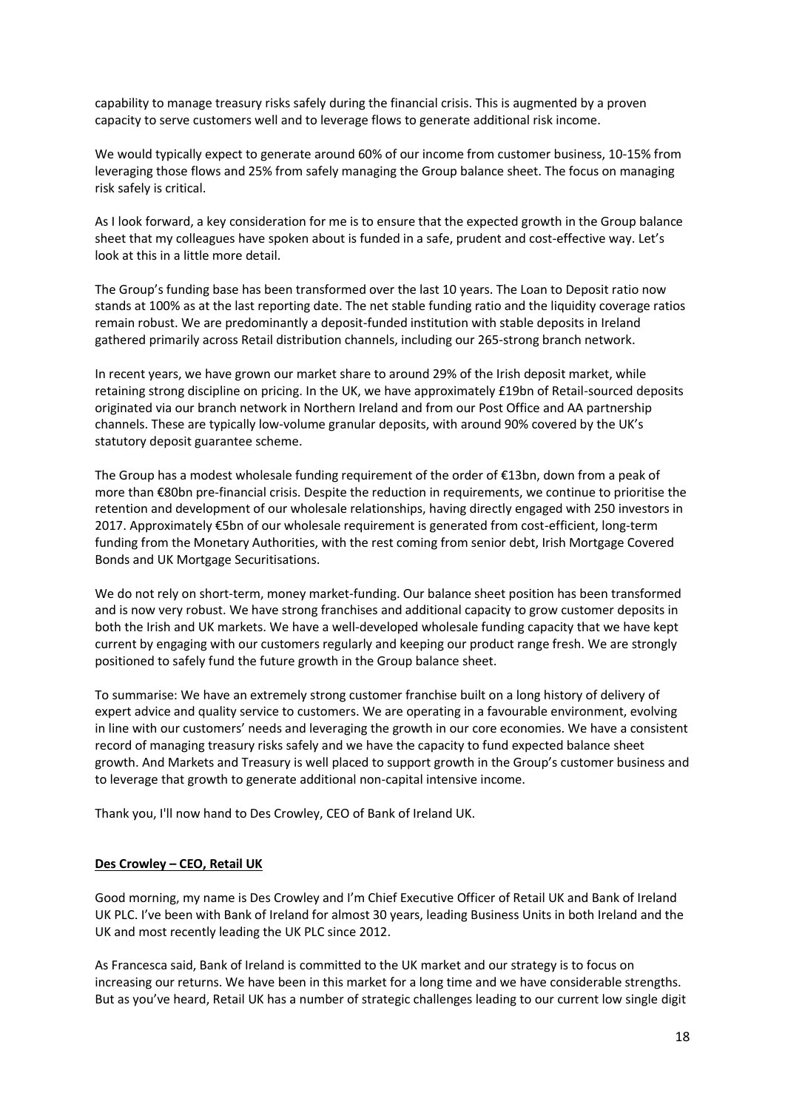capability to manage treasury risks safely during the financial crisis. This is augmented by a proven capacity to serve customers well and to leverage flows to generate additional risk income.

We would typically expect to generate around 60% of our income from customer business, 10-15% from leveraging those flows and 25% from safely managing the Group balance sheet. The focus on managing risk safely is critical.

As I look forward, a key consideration for me is to ensure that the expected growth in the Group balance sheet that my colleagues have spoken about is funded in a safe, prudent and cost-effective way. Let's look at this in a little more detail.

The Group's funding base has been transformed over the last 10 years. The Loan to Deposit ratio now stands at 100% as at the last reporting date. The net stable funding ratio and the liquidity coverage ratios remain robust. We are predominantly a deposit-funded institution with stable deposits in Ireland gathered primarily across Retail distribution channels, including our 265-strong branch network.

In recent years, we have grown our market share to around 29% of the Irish deposit market, while retaining strong discipline on pricing. In the UK, we have approximately £19bn of Retail-sourced deposits originated via our branch network in Northern Ireland and from our Post Office and AA partnership channels. These are typically low-volume granular deposits, with around 90% covered by the UK's statutory deposit guarantee scheme.

The Group has a modest wholesale funding requirement of the order of €13bn, down from a peak of more than €80bn pre-financial crisis. Despite the reduction in requirements, we continue to prioritise the retention and development of our wholesale relationships, having directly engaged with 250 investors in 2017. Approximately €5bn of our wholesale requirement is generated from cost-efficient, long-term funding from the Monetary Authorities, with the rest coming from senior debt, Irish Mortgage Covered Bonds and UK Mortgage Securitisations.

We do not rely on short-term, money market-funding. Our balance sheet position has been transformed and is now very robust. We have strong franchises and additional capacity to grow customer deposits in both the Irish and UK markets. We have a well-developed wholesale funding capacity that we have kept current by engaging with our customers regularly and keeping our product range fresh. We are strongly positioned to safely fund the future growth in the Group balance sheet.

To summarise: We have an extremely strong customer franchise built on a long history of delivery of expert advice and quality service to customers. We are operating in a favourable environment, evolving in line with our customers' needs and leveraging the growth in our core economies. We have a consistent record of managing treasury risks safely and we have the capacity to fund expected balance sheet growth. And Markets and Treasury is well placed to support growth in the Group's customer business and to leverage that growth to generate additional non-capital intensive income.

Thank you, I'll now hand to Des Crowley, CEO of Bank of Ireland UK.

# **Des Crowley – CEO, Retail UK**

Good morning, my name is Des Crowley and I'm Chief Executive Officer of Retail UK and Bank of Ireland UK PLC. I've been with Bank of Ireland for almost 30 years, leading Business Units in both Ireland and the UK and most recently leading the UK PLC since 2012.

As Francesca said, Bank of Ireland is committed to the UK market and our strategy is to focus on increasing our returns. We have been in this market for a long time and we have considerable strengths. But as you've heard, Retail UK has a number of strategic challenges leading to our current low single digit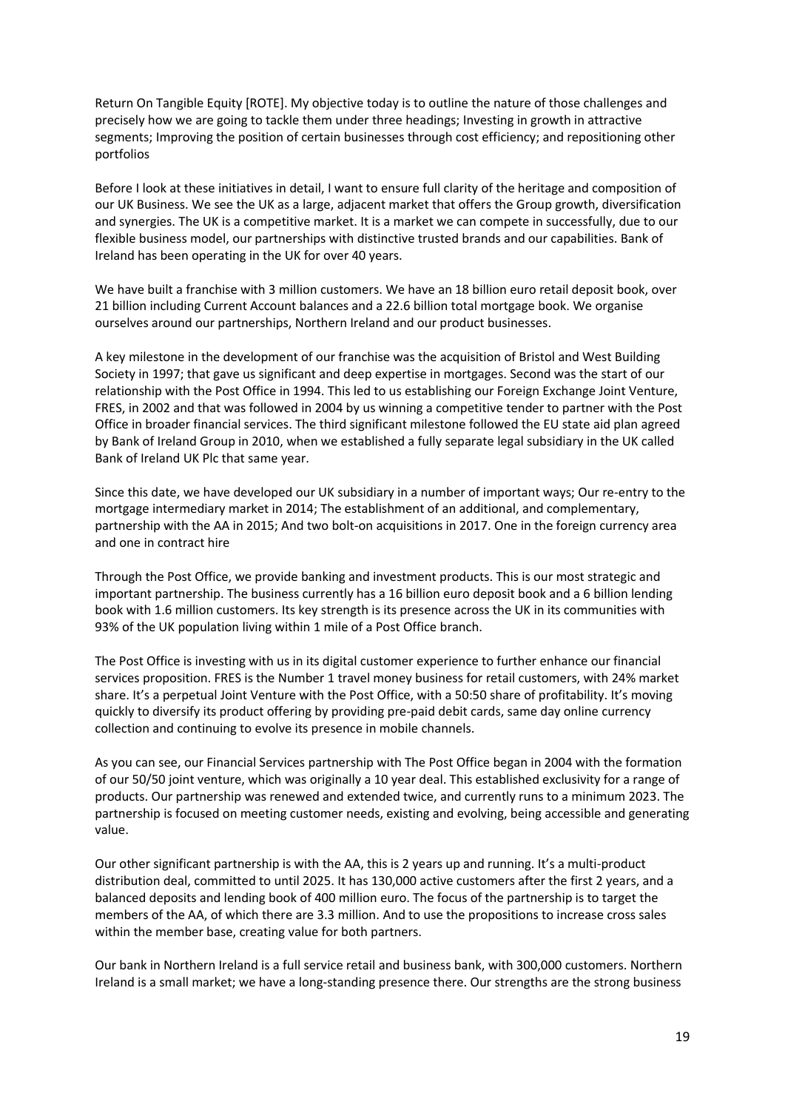Return On Tangible Equity [ROTE]. My objective today is to outline the nature of those challenges and precisely how we are going to tackle them under three headings; Investing in growth in attractive segments; Improving the position of certain businesses through cost efficiency; and repositioning other portfolios

Before I look at these initiatives in detail, I want to ensure full clarity of the heritage and composition of our UK Business. We see the UK as a large, adjacent market that offers the Group growth, diversification and synergies. The UK is a competitive market. It is a market we can compete in successfully, due to our flexible business model, our partnerships with distinctive trusted brands and our capabilities. Bank of Ireland has been operating in the UK for over 40 years.

We have built a franchise with 3 million customers. We have an 18 billion euro retail deposit book, over 21 billion including Current Account balances and a 22.6 billion total mortgage book. We organise ourselves around our partnerships, Northern Ireland and our product businesses.

A key milestone in the development of our franchise was the acquisition of Bristol and West Building Society in 1997; that gave us significant and deep expertise in mortgages. Second was the start of our relationship with the Post Office in 1994. This led to us establishing our Foreign Exchange Joint Venture, FRES, in 2002 and that was followed in 2004 by us winning a competitive tender to partner with the Post Office in broader financial services. The third significant milestone followed the EU state aid plan agreed by Bank of Ireland Group in 2010, when we established a fully separate legal subsidiary in the UK called Bank of Ireland UK Plc that same year.

Since this date, we have developed our UK subsidiary in a number of important ways; Our re-entry to the mortgage intermediary market in 2014; The establishment of an additional, and complementary, partnership with the AA in 2015; And two bolt-on acquisitions in 2017. One in the foreign currency area and one in contract hire

Through the Post Office, we provide banking and investment products. This is our most strategic and important partnership. The business currently has a 16 billion euro deposit book and a 6 billion lending book with 1.6 million customers. Its key strength is its presence across the UK in its communities with 93% of the UK population living within 1 mile of a Post Office branch.

The Post Office is investing with us in its digital customer experience to further enhance our financial services proposition. FRES is the Number 1 travel money business for retail customers, with 24% market share. It's a perpetual Joint Venture with the Post Office, with a 50:50 share of profitability. It's moving quickly to diversify its product offering by providing pre-paid debit cards, same day online currency collection and continuing to evolve its presence in mobile channels.

As you can see, our Financial Services partnership with The Post Office began in 2004 with the formation of our 50/50 joint venture, which was originally a 10 year deal. This established exclusivity for a range of products. Our partnership was renewed and extended twice, and currently runs to a minimum 2023. The partnership is focused on meeting customer needs, existing and evolving, being accessible and generating value.

Our other significant partnership is with the AA, this is 2 years up and running. It's a multi-product distribution deal, committed to until 2025. It has 130,000 active customers after the first 2 years, and a balanced deposits and lending book of 400 million euro. The focus of the partnership is to target the members of the AA, of which there are 3.3 million. And to use the propositions to increase cross sales within the member base, creating value for both partners.

Our bank in Northern Ireland is a full service retail and business bank, with 300,000 customers. Northern Ireland is a small market; we have a long-standing presence there. Our strengths are the strong business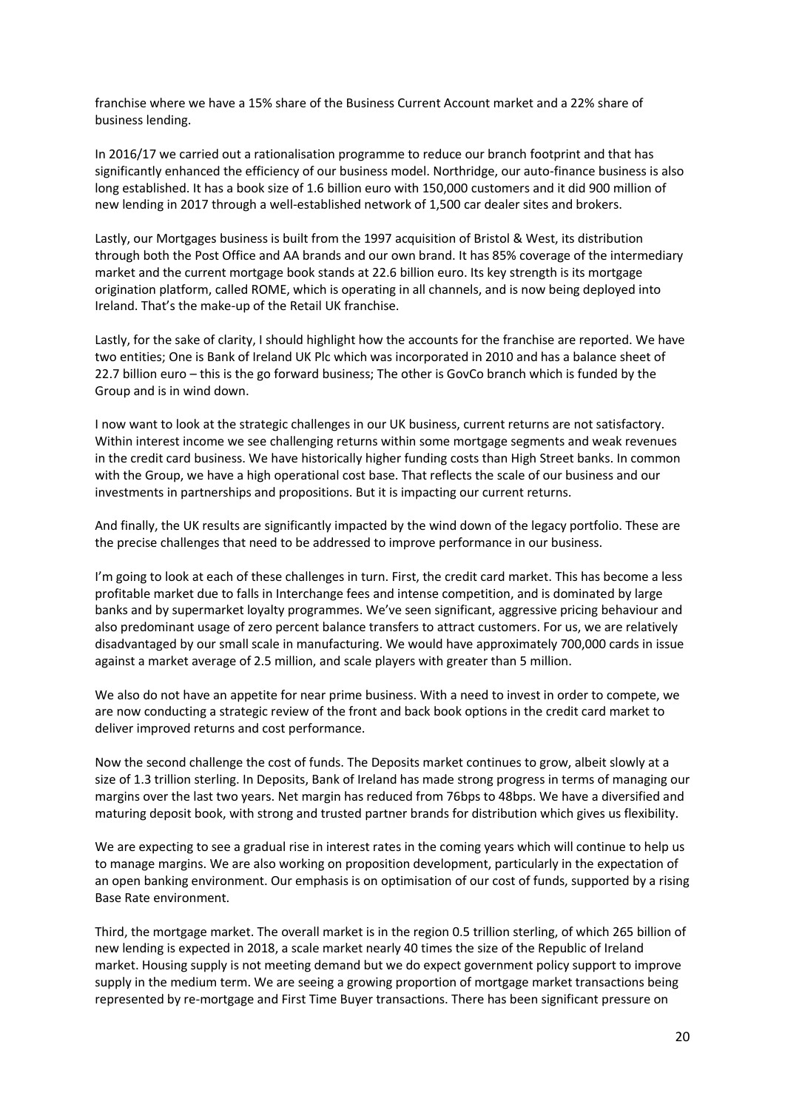franchise where we have a 15% share of the Business Current Account market and a 22% share of business lending.

In 2016/17 we carried out a rationalisation programme to reduce our branch footprint and that has significantly enhanced the efficiency of our business model. Northridge, our auto-finance business is also long established. It has a book size of 1.6 billion euro with 150,000 customers and it did 900 million of new lending in 2017 through a well-established network of 1,500 car dealer sites and brokers.

Lastly, our Mortgages business is built from the 1997 acquisition of Bristol & West, its distribution through both the Post Office and AA brands and our own brand. It has 85% coverage of the intermediary market and the current mortgage book stands at 22.6 billion euro. Its key strength is its mortgage origination platform, called ROME, which is operating in all channels, and is now being deployed into Ireland. That's the make-up of the Retail UK franchise.

Lastly, for the sake of clarity, I should highlight how the accounts for the franchise are reported. We have two entities; One is Bank of Ireland UK Plc which was incorporated in 2010 and has a balance sheet of 22.7 billion euro – this is the go forward business; The other is GovCo branch which is funded by the Group and is in wind down.

I now want to look at the strategic challenges in our UK business, current returns are not satisfactory. Within interest income we see challenging returns within some mortgage segments and weak revenues in the credit card business. We have historically higher funding costs than High Street banks. In common with the Group, we have a high operational cost base. That reflects the scale of our business and our investments in partnerships and propositions. But it is impacting our current returns.

And finally, the UK results are significantly impacted by the wind down of the legacy portfolio. These are the precise challenges that need to be addressed to improve performance in our business.

I'm going to look at each of these challenges in turn. First, the credit card market. This has become a less profitable market due to falls in Interchange fees and intense competition, and is dominated by large banks and by supermarket loyalty programmes. We've seen significant, aggressive pricing behaviour and also predominant usage of zero percent balance transfers to attract customers. For us, we are relatively disadvantaged by our small scale in manufacturing. We would have approximately 700,000 cards in issue against a market average of 2.5 million, and scale players with greater than 5 million.

We also do not have an appetite for near prime business. With a need to invest in order to compete, we are now conducting a strategic review of the front and back book options in the credit card market to deliver improved returns and cost performance.

Now the second challenge the cost of funds. The Deposits market continues to grow, albeit slowly at a size of 1.3 trillion sterling. In Deposits, Bank of Ireland has made strong progress in terms of managing our margins over the last two years. Net margin has reduced from 76bps to 48bps. We have a diversified and maturing deposit book, with strong and trusted partner brands for distribution which gives us flexibility.

We are expecting to see a gradual rise in interest rates in the coming years which will continue to help us to manage margins. We are also working on proposition development, particularly in the expectation of an open banking environment. Our emphasis is on optimisation of our cost of funds, supported by a rising Base Rate environment.

Third, the mortgage market. The overall market is in the region 0.5 trillion sterling, of which 265 billion of new lending is expected in 2018, a scale market nearly 40 times the size of the Republic of Ireland market. Housing supply is not meeting demand but we do expect government policy support to improve supply in the medium term. We are seeing a growing proportion of mortgage market transactions being represented by re-mortgage and First Time Buyer transactions. There has been significant pressure on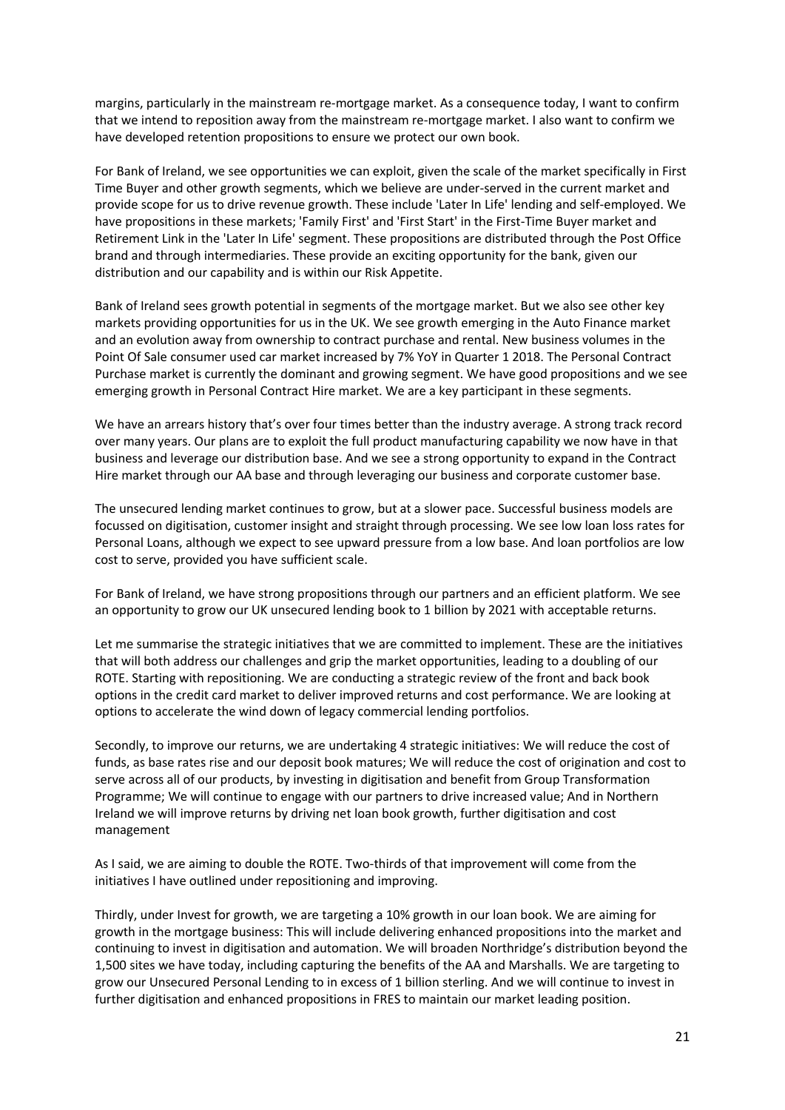margins, particularly in the mainstream re-mortgage market. As a consequence today, I want to confirm that we intend to reposition away from the mainstream re-mortgage market. I also want to confirm we have developed retention propositions to ensure we protect our own book.

For Bank of Ireland, we see opportunities we can exploit, given the scale of the market specifically in First Time Buyer and other growth segments, which we believe are under-served in the current market and provide scope for us to drive revenue growth. These include 'Later In Life' lending and self-employed. We have propositions in these markets; 'Family First' and 'First Start' in the First-Time Buyer market and Retirement Link in the 'Later In Life' segment. These propositions are distributed through the Post Office brand and through intermediaries. These provide an exciting opportunity for the bank, given our distribution and our capability and is within our Risk Appetite.

Bank of Ireland sees growth potential in segments of the mortgage market. But we also see other key markets providing opportunities for us in the UK. We see growth emerging in the Auto Finance market and an evolution away from ownership to contract purchase and rental. New business volumes in the Point Of Sale consumer used car market increased by 7% YoY in Quarter 1 2018. The Personal Contract Purchase market is currently the dominant and growing segment. We have good propositions and we see emerging growth in Personal Contract Hire market. We are a key participant in these segments.

We have an arrears history that's over four times better than the industry average. A strong track record over many years. Our plans are to exploit the full product manufacturing capability we now have in that business and leverage our distribution base. And we see a strong opportunity to expand in the Contract Hire market through our AA base and through leveraging our business and corporate customer base.

The unsecured lending market continues to grow, but at a slower pace. Successful business models are focussed on digitisation, customer insight and straight through processing. We see low loan loss rates for Personal Loans, although we expect to see upward pressure from a low base. And loan portfolios are low cost to serve, provided you have sufficient scale.

For Bank of Ireland, we have strong propositions through our partners and an efficient platform. We see an opportunity to grow our UK unsecured lending book to 1 billion by 2021 with acceptable returns.

Let me summarise the strategic initiatives that we are committed to implement. These are the initiatives that will both address our challenges and grip the market opportunities, leading to a doubling of our ROTE. Starting with repositioning. We are conducting a strategic review of the front and back book options in the credit card market to deliver improved returns and cost performance. We are looking at options to accelerate the wind down of legacy commercial lending portfolios.

Secondly, to improve our returns, we are undertaking 4 strategic initiatives: We will reduce the cost of funds, as base rates rise and our deposit book matures; We will reduce the cost of origination and cost to serve across all of our products, by investing in digitisation and benefit from Group Transformation Programme; We will continue to engage with our partners to drive increased value; And in Northern Ireland we will improve returns by driving net loan book growth, further digitisation and cost management

As I said, we are aiming to double the ROTE. Two-thirds of that improvement will come from the initiatives I have outlined under repositioning and improving.

Thirdly, under Invest for growth, we are targeting a 10% growth in our loan book. We are aiming for growth in the mortgage business: This will include delivering enhanced propositions into the market and continuing to invest in digitisation and automation. We will broaden Northridge's distribution beyond the 1,500 sites we have today, including capturing the benefits of the AA and Marshalls. We are targeting to grow our Unsecured Personal Lending to in excess of 1 billion sterling. And we will continue to invest in further digitisation and enhanced propositions in FRES to maintain our market leading position.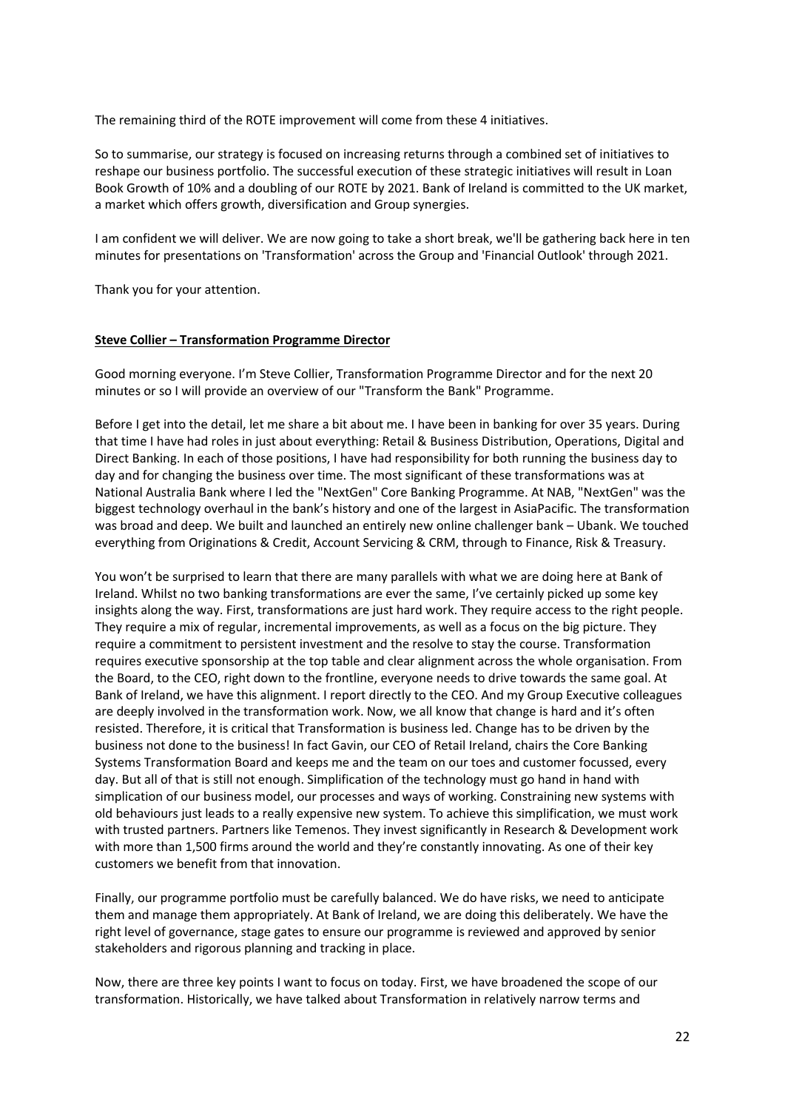The remaining third of the ROTE improvement will come from these 4 initiatives.

So to summarise, our strategy is focused on increasing returns through a combined set of initiatives to reshape our business portfolio. The successful execution of these strategic initiatives will result in Loan Book Growth of 10% and a doubling of our ROTE by 2021. Bank of Ireland is committed to the UK market, a market which offers growth, diversification and Group synergies.

I am confident we will deliver. We are now going to take a short break, we'll be gathering back here in ten minutes for presentations on 'Transformation' across the Group and 'Financial Outlook' through 2021.

Thank you for your attention.

#### **Steve Collier – Transformation Programme Director**

Good morning everyone. I'm Steve Collier, Transformation Programme Director and for the next 20 minutes or so I will provide an overview of our "Transform the Bank" Programme.

Before I get into the detail, let me share a bit about me. I have been in banking for over 35 years. During that time I have had roles in just about everything: Retail & Business Distribution, Operations, Digital and Direct Banking. In each of those positions, I have had responsibility for both running the business day to day and for changing the business over time. The most significant of these transformations was at National Australia Bank where I led the "NextGen" Core Banking Programme. At NAB, "NextGen" was the biggest technology overhaul in the bank's history and one of the largest in AsiaPacific. The transformation was broad and deep. We built and launched an entirely new online challenger bank – Ubank. We touched everything from Originations & Credit, Account Servicing & CRM, through to Finance, Risk & Treasury.

You won't be surprised to learn that there are many parallels with what we are doing here at Bank of Ireland. Whilst no two banking transformations are ever the same, I've certainly picked up some key insights along the way. First, transformations are just hard work. They require access to the right people. They require a mix of regular, incremental improvements, as well as a focus on the big picture. They require a commitment to persistent investment and the resolve to stay the course. Transformation requires executive sponsorship at the top table and clear alignment across the whole organisation. From the Board, to the CEO, right down to the frontline, everyone needs to drive towards the same goal. At Bank of Ireland, we have this alignment. I report directly to the CEO. And my Group Executive colleagues are deeply involved in the transformation work. Now, we all know that change is hard and it's often resisted. Therefore, it is critical that Transformation is business led. Change has to be driven by the business not done to the business! In fact Gavin, our CEO of Retail Ireland, chairs the Core Banking Systems Transformation Board and keeps me and the team on our toes and customer focussed, every day. But all of that is still not enough. Simplification of the technology must go hand in hand with simplication of our business model, our processes and ways of working. Constraining new systems with old behaviours just leads to a really expensive new system. To achieve this simplification, we must work with trusted partners. Partners like Temenos. They invest significantly in Research & Development work with more than 1,500 firms around the world and they're constantly innovating. As one of their key customers we benefit from that innovation.

Finally, our programme portfolio must be carefully balanced. We do have risks, we need to anticipate them and manage them appropriately. At Bank of Ireland, we are doing this deliberately. We have the right level of governance, stage gates to ensure our programme is reviewed and approved by senior stakeholders and rigorous planning and tracking in place.

Now, there are three key points I want to focus on today. First, we have broadened the scope of our transformation. Historically, we have talked about Transformation in relatively narrow terms and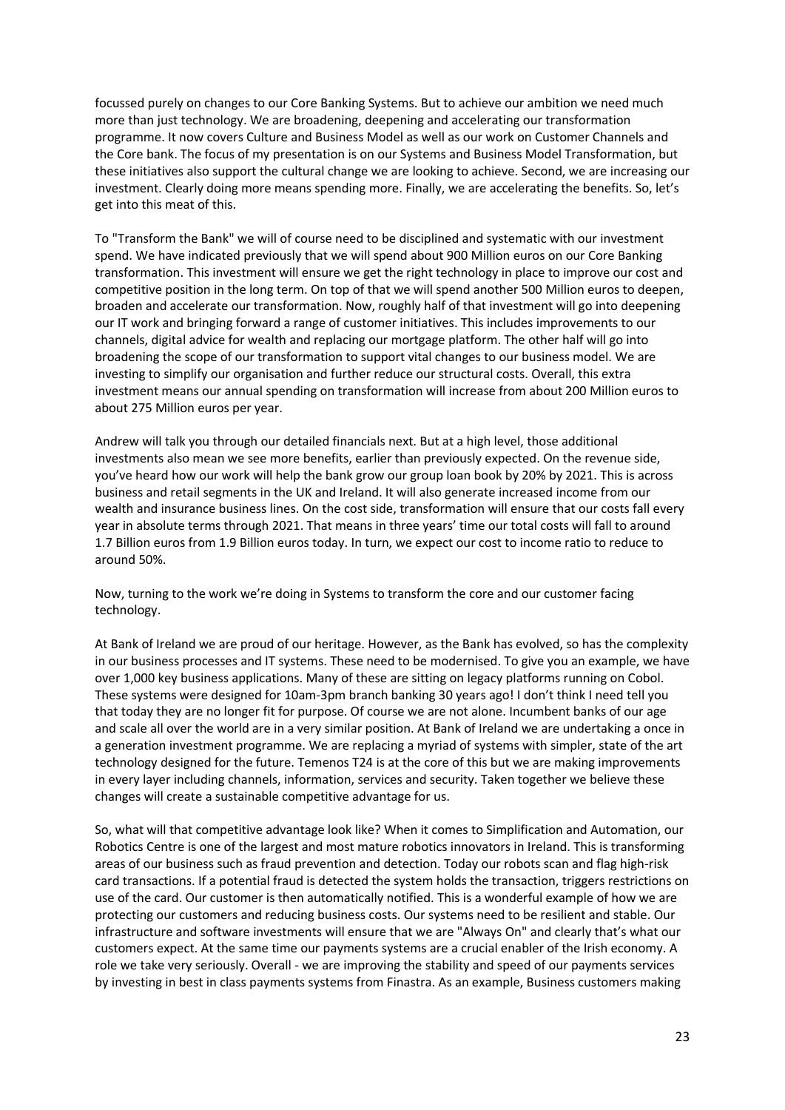focussed purely on changes to our Core Banking Systems. But to achieve our ambition we need much more than just technology. We are broadening, deepening and accelerating our transformation programme. It now covers Culture and Business Model as well as our work on Customer Channels and the Core bank. The focus of my presentation is on our Systems and Business Model Transformation, but these initiatives also support the cultural change we are looking to achieve. Second, we are increasing our investment. Clearly doing more means spending more. Finally, we are accelerating the benefits. So, let's get into this meat of this.

To "Transform the Bank" we will of course need to be disciplined and systematic with our investment spend. We have indicated previously that we will spend about 900 Million euros on our Core Banking transformation. This investment will ensure we get the right technology in place to improve our cost and competitive position in the long term. On top of that we will spend another 500 Million euros to deepen, broaden and accelerate our transformation. Now, roughly half of that investment will go into deepening our IT work and bringing forward a range of customer initiatives. This includes improvements to our channels, digital advice for wealth and replacing our mortgage platform. The other half will go into broadening the scope of our transformation to support vital changes to our business model. We are investing to simplify our organisation and further reduce our structural costs. Overall, this extra investment means our annual spending on transformation will increase from about 200 Million euros to about 275 Million euros per year.

Andrew will talk you through our detailed financials next. But at a high level, those additional investments also mean we see more benefits, earlier than previously expected. On the revenue side, you've heard how our work will help the bank grow our group loan book by 20% by 2021. This is across business and retail segments in the UK and Ireland. It will also generate increased income from our wealth and insurance business lines. On the cost side, transformation will ensure that our costs fall every year in absolute terms through 2021. That means in three years' time our total costs will fall to around 1.7 Billion euros from 1.9 Billion euros today. In turn, we expect our cost to income ratio to reduce to around 50%.

Now, turning to the work we're doing in Systems to transform the core and our customer facing technology.

At Bank of Ireland we are proud of our heritage. However, as the Bank has evolved, so has the complexity in our business processes and IT systems. These need to be modernised. To give you an example, we have over 1,000 key business applications. Many of these are sitting on legacy platforms running on Cobol. These systems were designed for 10am-3pm branch banking 30 years ago! I don't think I need tell you that today they are no longer fit for purpose. Of course we are not alone. Incumbent banks of our age and scale all over the world are in a very similar position. At Bank of Ireland we are undertaking a once in a generation investment programme. We are replacing a myriad of systems with simpler, state of the art technology designed for the future. Temenos T24 is at the core of this but we are making improvements in every layer including channels, information, services and security. Taken together we believe these changes will create a sustainable competitive advantage for us.

So, what will that competitive advantage look like? When it comes to Simplification and Automation, our Robotics Centre is one of the largest and most mature robotics innovators in Ireland. This is transforming areas of our business such as fraud prevention and detection. Today our robots scan and flag high-risk card transactions. If a potential fraud is detected the system holds the transaction, triggers restrictions on use of the card. Our customer is then automatically notified. This is a wonderful example of how we are protecting our customers and reducing business costs. Our systems need to be resilient and stable. Our infrastructure and software investments will ensure that we are "Always On" and clearly that's what our customers expect. At the same time our payments systems are a crucial enabler of the Irish economy. A role we take very seriously. Overall - we are improving the stability and speed of our payments services by investing in best in class payments systems from Finastra. As an example, Business customers making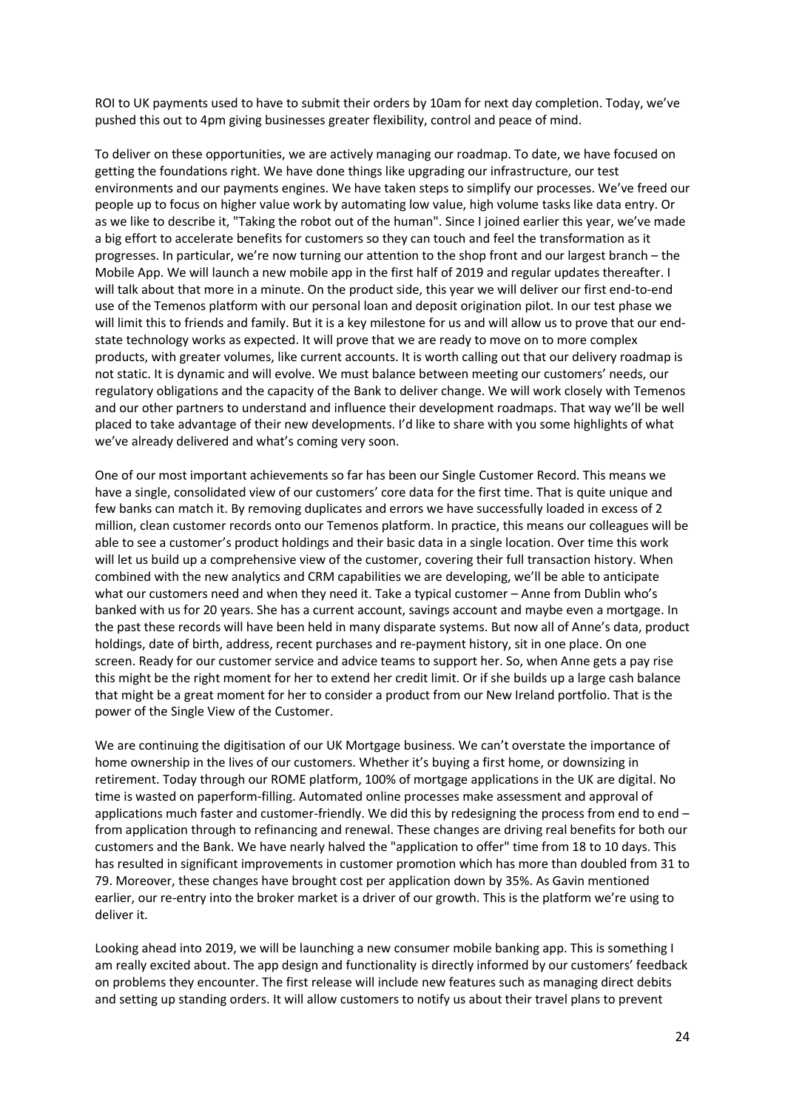ROI to UK payments used to have to submit their orders by 10am for next day completion. Today, we've pushed this out to 4pm giving businesses greater flexibility, control and peace of mind.

To deliver on these opportunities, we are actively managing our roadmap. To date, we have focused on getting the foundations right. We have done things like upgrading our infrastructure, our test environments and our payments engines. We have taken steps to simplify our processes. We've freed our people up to focus on higher value work by automating low value, high volume tasks like data entry. Or as we like to describe it, "Taking the robot out of the human". Since I joined earlier this year, we've made a big effort to accelerate benefits for customers so they can touch and feel the transformation as it progresses. In particular, we're now turning our attention to the shop front and our largest branch – the Mobile App. We will launch a new mobile app in the first half of 2019 and regular updates thereafter. I will talk about that more in a minute. On the product side, this year we will deliver our first end-to-end use of the Temenos platform with our personal loan and deposit origination pilot. In our test phase we will limit this to friends and family. But it is a key milestone for us and will allow us to prove that our endstate technology works as expected. It will prove that we are ready to move on to more complex products, with greater volumes, like current accounts. It is worth calling out that our delivery roadmap is not static. It is dynamic and will evolve. We must balance between meeting our customers' needs, our regulatory obligations and the capacity of the Bank to deliver change. We will work closely with Temenos and our other partners to understand and influence their development roadmaps. That way we'll be well placed to take advantage of their new developments. I'd like to share with you some highlights of what we've already delivered and what's coming very soon.

One of our most important achievements so far has been our Single Customer Record. This means we have a single, consolidated view of our customers' core data for the first time. That is quite unique and few banks can match it. By removing duplicates and errors we have successfully loaded in excess of 2 million, clean customer records onto our Temenos platform. In practice, this means our colleagues will be able to see a customer's product holdings and their basic data in a single location. Over time this work will let us build up a comprehensive view of the customer, covering their full transaction history. When combined with the new analytics and CRM capabilities we are developing, we'll be able to anticipate what our customers need and when they need it. Take a typical customer – Anne from Dublin who's banked with us for 20 years. She has a current account, savings account and maybe even a mortgage. In the past these records will have been held in many disparate systems. But now all of Anne's data, product holdings, date of birth, address, recent purchases and re-payment history, sit in one place. On one screen. Ready for our customer service and advice teams to support her. So, when Anne gets a pay rise this might be the right moment for her to extend her credit limit. Or if she builds up a large cash balance that might be a great moment for her to consider a product from our New Ireland portfolio. That is the power of the Single View of the Customer.

We are continuing the digitisation of our UK Mortgage business. We can't overstate the importance of home ownership in the lives of our customers. Whether it's buying a first home, or downsizing in retirement. Today through our ROME platform, 100% of mortgage applications in the UK are digital. No time is wasted on paperform-filling. Automated online processes make assessment and approval of applications much faster and customer-friendly. We did this by redesigning the process from end to end – from application through to refinancing and renewal. These changes are driving real benefits for both our customers and the Bank. We have nearly halved the "application to offer" time from 18 to 10 days. This has resulted in significant improvements in customer promotion which has more than doubled from 31 to 79. Moreover, these changes have brought cost per application down by 35%. As Gavin mentioned earlier, our re-entry into the broker market is a driver of our growth. This is the platform we're using to deliver it.

Looking ahead into 2019, we will be launching a new consumer mobile banking app. This is something I am really excited about. The app design and functionality is directly informed by our customers' feedback on problems they encounter. The first release will include new features such as managing direct debits and setting up standing orders. It will allow customers to notify us about their travel plans to prevent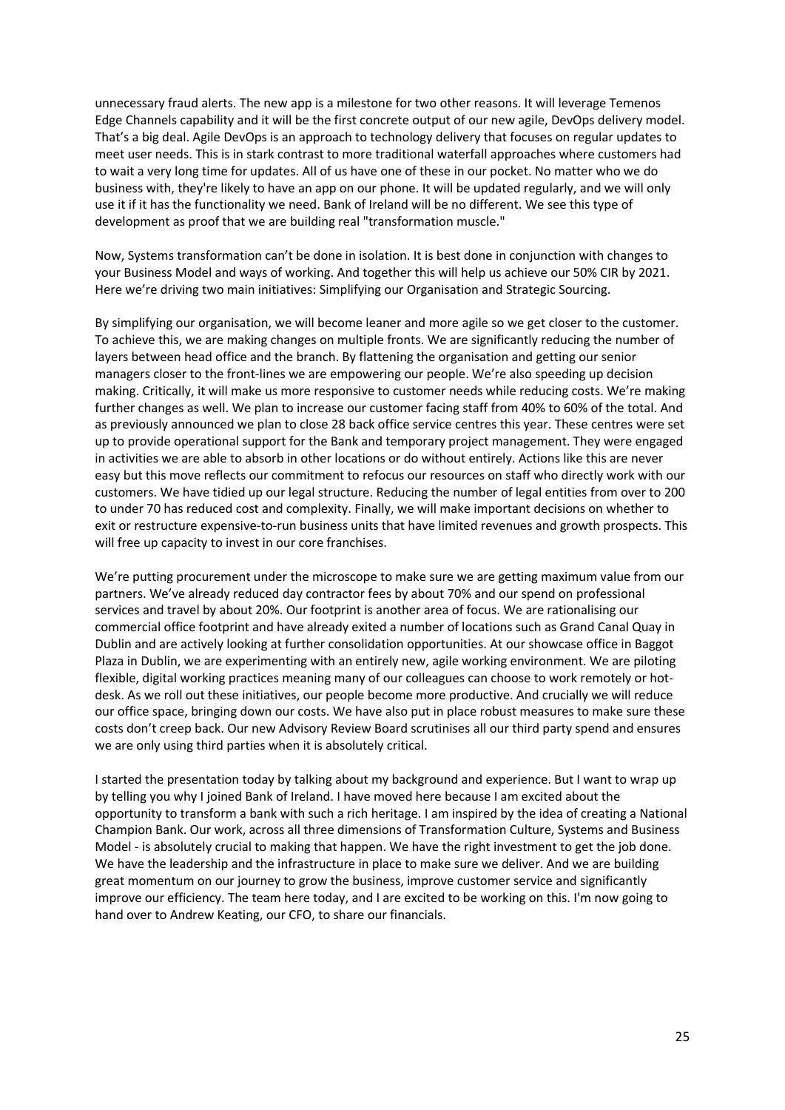unnecessary fraud alerts. The new app is a milestone for two other reasons. It will leverage Temenos Edge Channels capability and it will be the first concrete output of our new agile, DevOps delivery model. That's a big deal. Agile DevOps is an approach to technology delivery that focuses on regular updates to meet user needs. This is in stark contrast to more traditional waterfall approaches where customers had to wait a very long time for updates. All of us have one of these in our pocket. No matter who we do business with, they're likely to have an app on our phone. It will be updated regularly, and we will only use it if it has the functionality we need. Bank of Ireland will be no different. We see this type of development as proof that we are building real "transformation muscle."

Now, Systems transformation can't be done in isolation. It is best done in conjunction with changes to your Business Model and ways of working. And together this will help us achieve our 50% CIR by 2021. Here we're driving two main initiatives: Simplifying our Organisation and Strategic Sourcing.

By simplifying our organisation, we will become leaner and more agile so we get closer to the customer. To achieve this, we are making changes on multiple fronts. We are significantly reducing the number of layers between head office and the branch. By flattening the organisation and getting our senior managers closer to the front-lines we are empowering our people. We're also speeding up decision making. Critically, it will make us more responsive to customer needs while reducing costs. We're making further changes as well. We plan to increase our customer facing staff from 40% to 60% of the total. And as previously announced we plan to close 28 back office service centres this year. These centres were set up to provide operational support for the Bank and temporary project management. They were engaged in activities we are able to absorb in other locations or do without entirely. Actions like this are never easy but this move reflects our commitment to refocus our resources on staff who directly work with our customers. We have tidied up our legal structure. Reducing the number of legal entities from over to 200 to under 70 has reduced cost and complexity. Finally, we will make important decisions on whether to exit or restructure expensive-to-run business units that have limited revenues and growth prospects. This will free up capacity to invest in our core franchises.

We're putting procurement under the microscope to make sure we are getting maximum value from our partners. We've already reduced day contractor fees by about 70% and our spend on professional services and travel by about 20%. Our footprint is another area of focus. We are rationalising our commercial office footprint and have already exited a number of locations such as Grand Canal Quay in Dublin and are actively looking at further consolidation opportunities. At our showcase office in Baggot Plaza in Dublin, we are experimenting with an entirely new, agile working environment. We are piloting flexible, digital working practices meaning many of our colleagues can choose to work remotely or hotdesk. As we roll out these initiatives, our people become more productive. And crucially we will reduce our office space, bringing down our costs. We have also put in place robust measures to make sure these costs don't creep back. Our new Advisory Review Board scrutinises all our third party spend and ensures we are only using third parties when it is absolutely critical.

I started the presentation today by talking about my background and experience. But I want to wrap up by telling you why I joined Bank of Ireland. I have moved here because I am excited about the opportunity to transform a bank with such a rich heritage. I am inspired by the idea of creating a National Champion Bank. Our work, across all three dimensions of Transformation Culture, Systems and Business Model - is absolutely crucial to making that happen. We have the right investment to get the job done. We have the leadership and the infrastructure in place to make sure we deliver. And we are building great momentum on our journey to grow the business, improve customer service and significantly improve our efficiency. The team here today, and I are excited to be working on this. I'm now going to hand over to Andrew Keating, our CFO, to share our financials.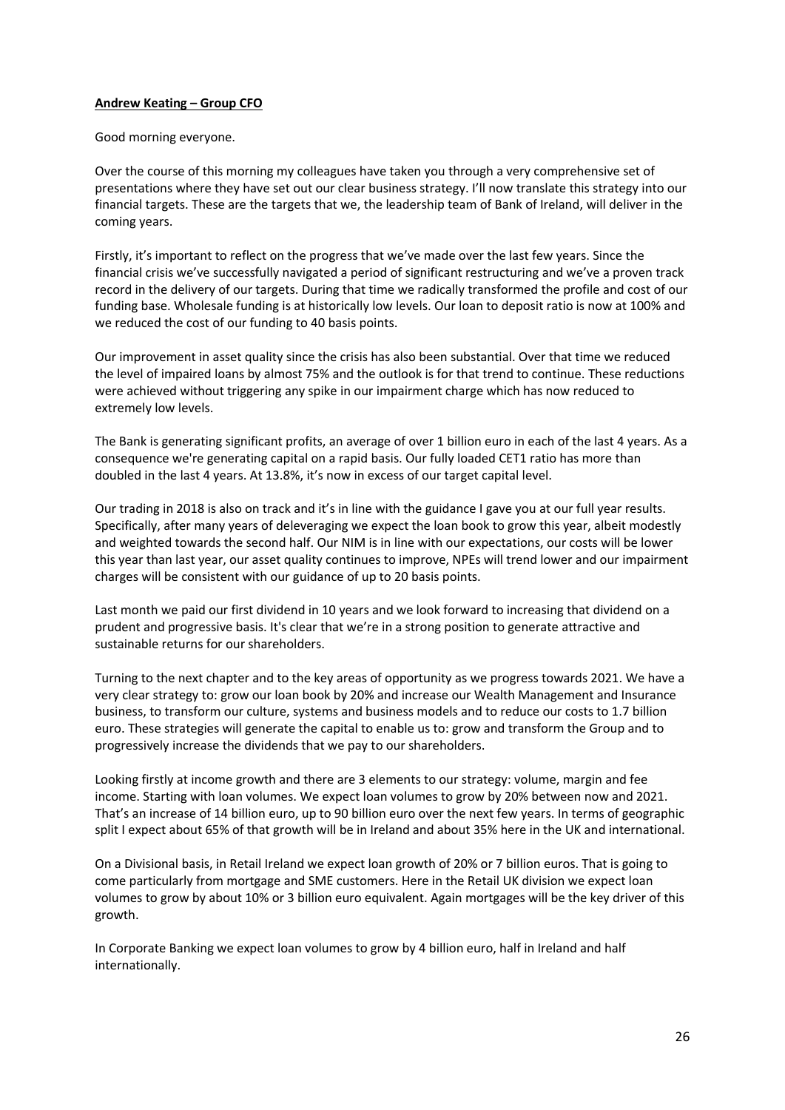## **Andrew Keating – Group CFO**

Good morning everyone.

Over the course of this morning my colleagues have taken you through a very comprehensive set of presentations where they have set out our clear business strategy. I'll now translate this strategy into our financial targets. These are the targets that we, the leadership team of Bank of Ireland, will deliver in the coming years.

Firstly, it's important to reflect on the progress that we've made over the last few years. Since the financial crisis we've successfully navigated a period of significant restructuring and we've a proven track record in the delivery of our targets. During that time we radically transformed the profile and cost of our funding base. Wholesale funding is at historically low levels. Our loan to deposit ratio is now at 100% and we reduced the cost of our funding to 40 basis points.

Our improvement in asset quality since the crisis has also been substantial. Over that time we reduced the level of impaired loans by almost 75% and the outlook is for that trend to continue. These reductions were achieved without triggering any spike in our impairment charge which has now reduced to extremely low levels.

The Bank is generating significant profits, an average of over 1 billion euro in each of the last 4 years. As a consequence we're generating capital on a rapid basis. Our fully loaded CET1 ratio has more than doubled in the last 4 years. At 13.8%, it's now in excess of our target capital level.

Our trading in 2018 is also on track and it's in line with the guidance I gave you at our full year results. Specifically, after many years of deleveraging we expect the loan book to grow this year, albeit modestly and weighted towards the second half. Our NIM is in line with our expectations, our costs will be lower this year than last year, our asset quality continues to improve, NPEs will trend lower and our impairment charges will be consistent with our guidance of up to 20 basis points.

Last month we paid our first dividend in 10 years and we look forward to increasing that dividend on a prudent and progressive basis. It's clear that we're in a strong position to generate attractive and sustainable returns for our shareholders.

Turning to the next chapter and to the key areas of opportunity as we progress towards 2021. We have a very clear strategy to: grow our loan book by 20% and increase our Wealth Management and Insurance business, to transform our culture, systems and business models and to reduce our costs to 1.7 billion euro. These strategies will generate the capital to enable us to: grow and transform the Group and to progressively increase the dividends that we pay to our shareholders.

Looking firstly at income growth and there are 3 elements to our strategy: volume, margin and fee income. Starting with loan volumes. We expect loan volumes to grow by 20% between now and 2021. That's an increase of 14 billion euro, up to 90 billion euro over the next few years. In terms of geographic split I expect about 65% of that growth will be in Ireland and about 35% here in the UK and international.

On a Divisional basis, in Retail Ireland we expect loan growth of 20% or 7 billion euros. That is going to come particularly from mortgage and SME customers. Here in the Retail UK division we expect loan volumes to grow by about 10% or 3 billion euro equivalent. Again mortgages will be the key driver of this growth.

In Corporate Banking we expect loan volumes to grow by 4 billion euro, half in Ireland and half internationally.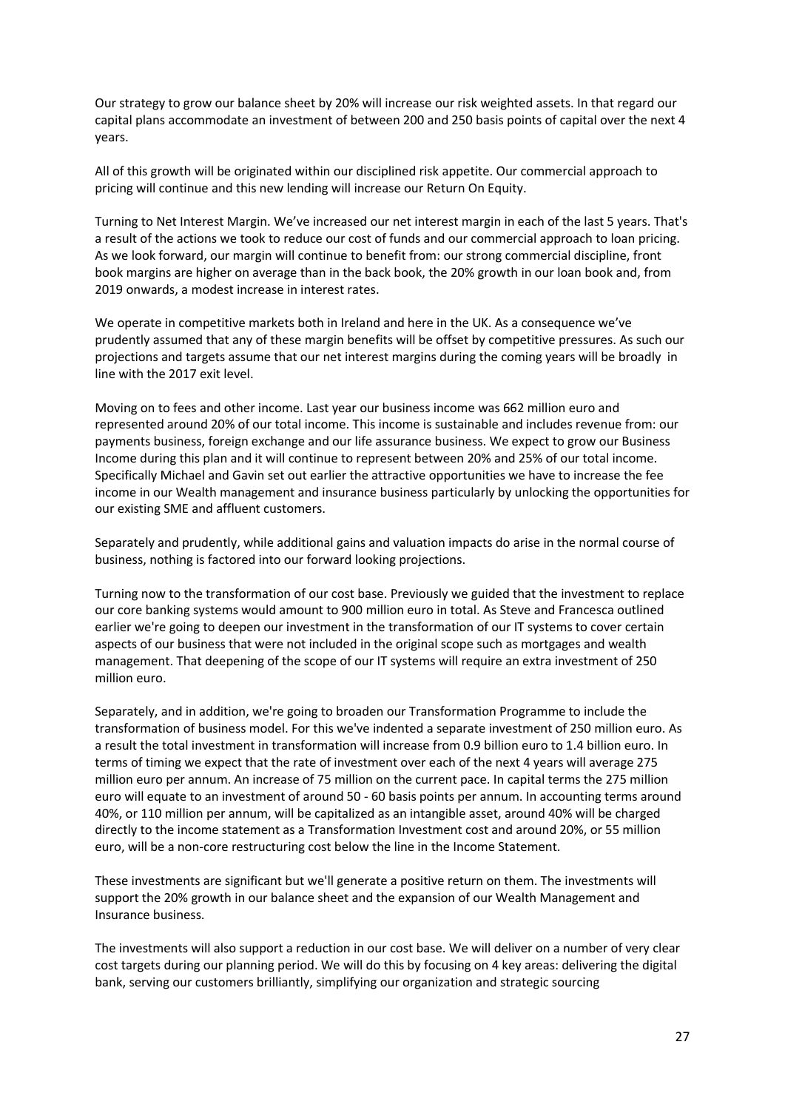Our strategy to grow our balance sheet by 20% will increase our risk weighted assets. In that regard our capital plans accommodate an investment of between 200 and 250 basis points of capital over the next 4 years.

All of this growth will be originated within our disciplined risk appetite. Our commercial approach to pricing will continue and this new lending will increase our Return On Equity.

Turning to Net Interest Margin. We've increased our net interest margin in each of the last 5 years. That's a result of the actions we took to reduce our cost of funds and our commercial approach to loan pricing. As we look forward, our margin will continue to benefit from: our strong commercial discipline, front book margins are higher on average than in the back book, the 20% growth in our loan book and, from 2019 onwards, a modest increase in interest rates.

We operate in competitive markets both in Ireland and here in the UK. As a consequence we've prudently assumed that any of these margin benefits will be offset by competitive pressures. As such our projections and targets assume that our net interest margins during the coming years will be broadly in line with the 2017 exit level.

Moving on to fees and other income. Last year our business income was 662 million euro and represented around 20% of our total income. This income is sustainable and includes revenue from: our payments business, foreign exchange and our life assurance business. We expect to grow our Business Income during this plan and it will continue to represent between 20% and 25% of our total income. Specifically Michael and Gavin set out earlier the attractive opportunities we have to increase the fee income in our Wealth management and insurance business particularly by unlocking the opportunities for our existing SME and affluent customers.

Separately and prudently, while additional gains and valuation impacts do arise in the normal course of business, nothing is factored into our forward looking projections.

Turning now to the transformation of our cost base. Previously we guided that the investment to replace our core banking systems would amount to 900 million euro in total. As Steve and Francesca outlined earlier we're going to deepen our investment in the transformation of our IT systems to cover certain aspects of our business that were not included in the original scope such as mortgages and wealth management. That deepening of the scope of our IT systems will require an extra investment of 250 million euro.

Separately, and in addition, we're going to broaden our Transformation Programme to include the transformation of business model. For this we've indented a separate investment of 250 million euro. As a result the total investment in transformation will increase from 0.9 billion euro to 1.4 billion euro. In terms of timing we expect that the rate of investment over each of the next 4 years will average 275 million euro per annum. An increase of 75 million on the current pace. In capital terms the 275 million euro will equate to an investment of around 50 - 60 basis points per annum. In accounting terms around 40%, or 110 million per annum, will be capitalized as an intangible asset, around 40% will be charged directly to the income statement as a Transformation Investment cost and around 20%, or 55 million euro, will be a non-core restructuring cost below the line in the Income Statement.

These investments are significant but we'll generate a positive return on them. The investments will support the 20% growth in our balance sheet and the expansion of our Wealth Management and Insurance business.

The investments will also support a reduction in our cost base. We will deliver on a number of very clear cost targets during our planning period. We will do this by focusing on 4 key areas: delivering the digital bank, serving our customers brilliantly, simplifying our organization and strategic sourcing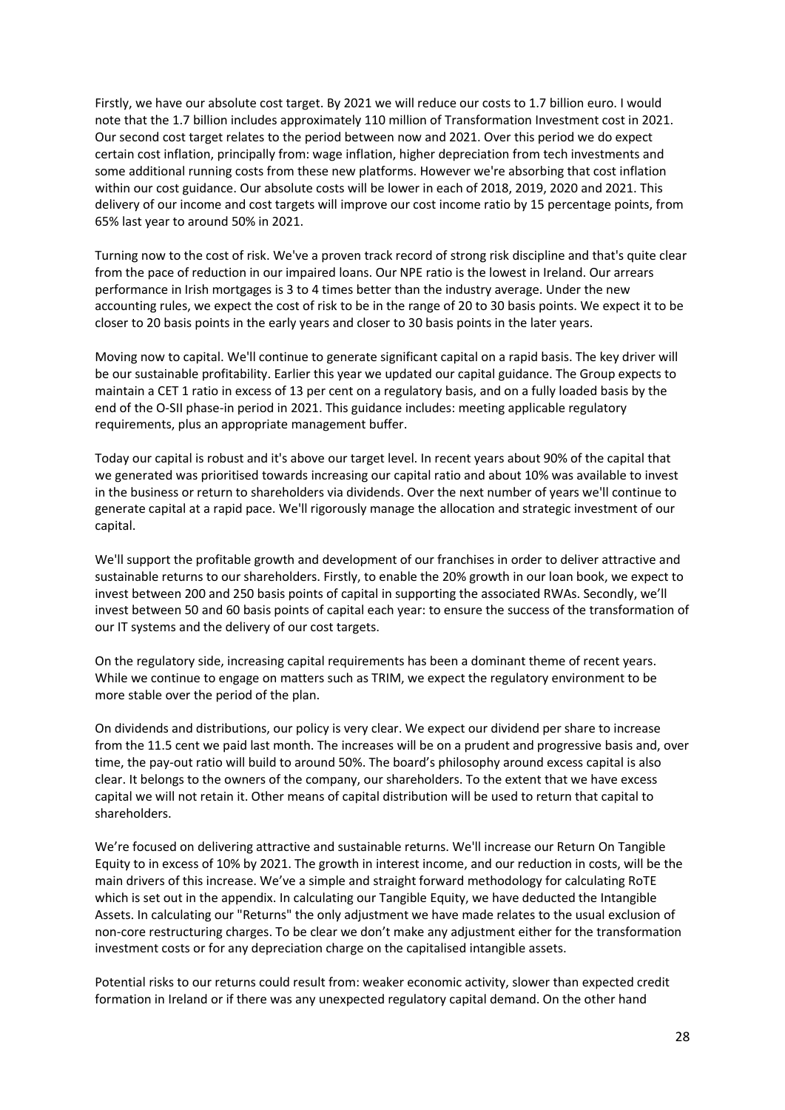Firstly, we have our absolute cost target. By 2021 we will reduce our costs to 1.7 billion euro. I would note that the 1.7 billion includes approximately 110 million of Transformation Investment cost in 2021. Our second cost target relates to the period between now and 2021. Over this period we do expect certain cost inflation, principally from: wage inflation, higher depreciation from tech investments and some additional running costs from these new platforms. However we're absorbing that cost inflation within our cost guidance. Our absolute costs will be lower in each of 2018, 2019, 2020 and 2021. This delivery of our income and cost targets will improve our cost income ratio by 15 percentage points, from 65% last year to around 50% in 2021.

Turning now to the cost of risk. We've a proven track record of strong risk discipline and that's quite clear from the pace of reduction in our impaired loans. Our NPE ratio is the lowest in Ireland. Our arrears performance in Irish mortgages is 3 to 4 times better than the industry average. Under the new accounting rules, we expect the cost of risk to be in the range of 20 to 30 basis points. We expect it to be closer to 20 basis points in the early years and closer to 30 basis points in the later years.

Moving now to capital. We'll continue to generate significant capital on a rapid basis. The key driver will be our sustainable profitability. Earlier this year we updated our capital guidance. The Group expects to maintain a CET 1 ratio in excess of 13 per cent on a regulatory basis, and on a fully loaded basis by the end of the O-SII phase-in period in 2021. This guidance includes: meeting applicable regulatory requirements, plus an appropriate management buffer.

Today our capital is robust and it's above our target level. In recent years about 90% of the capital that we generated was prioritised towards increasing our capital ratio and about 10% was available to invest in the business or return to shareholders via dividends. Over the next number of years we'll continue to generate capital at a rapid pace. We'll rigorously manage the allocation and strategic investment of our capital.

We'll support the profitable growth and development of our franchises in order to deliver attractive and sustainable returns to our shareholders. Firstly, to enable the 20% growth in our loan book, we expect to invest between 200 and 250 basis points of capital in supporting the associated RWAs. Secondly, we'll invest between 50 and 60 basis points of capital each year: to ensure the success of the transformation of our IT systems and the delivery of our cost targets.

On the regulatory side, increasing capital requirements has been a dominant theme of recent years. While we continue to engage on matters such as TRIM, we expect the regulatory environment to be more stable over the period of the plan.

On dividends and distributions, our policy is very clear. We expect our dividend per share to increase from the 11.5 cent we paid last month. The increases will be on a prudent and progressive basis and, over time, the pay-out ratio will build to around 50%. The board's philosophy around excess capital is also clear. It belongs to the owners of the company, our shareholders. To the extent that we have excess capital we will not retain it. Other means of capital distribution will be used to return that capital to shareholders.

We're focused on delivering attractive and sustainable returns. We'll increase our Return On Tangible Equity to in excess of 10% by 2021. The growth in interest income, and our reduction in costs, will be the main drivers of this increase. We've a simple and straight forward methodology for calculating RoTE which is set out in the appendix. In calculating our Tangible Equity, we have deducted the Intangible Assets. In calculating our "Returns" the only adjustment we have made relates to the usual exclusion of non-core restructuring charges. To be clear we don't make any adjustment either for the transformation investment costs or for any depreciation charge on the capitalised intangible assets.

Potential risks to our returns could result from: weaker economic activity, slower than expected credit formation in Ireland or if there was any unexpected regulatory capital demand. On the other hand